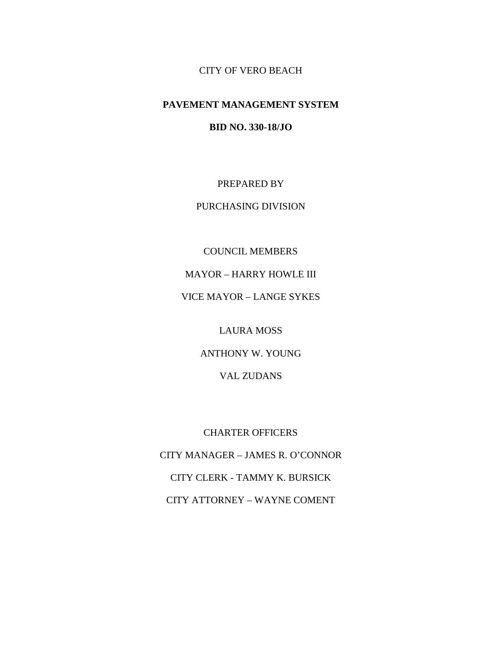CITY OF VERO BEACH

# **PAVEMENT MANAGEMENT SYSTEM**

**BID NO. 330-18/JO**

PREPARED BY

PURCHASING DIVISION

COUNCIL MEMBERS MAYOR – HARRY HOWLE III VICE MAYOR – LANGE SYKES

LAURA MOSS

ANTHONY W. YOUNG

VAL ZUDANS

CHARTER OFFICERS CITY MANAGER – JAMES R. O'CONNOR CITY CLERK - TAMMY K. BURSICK CITY ATTORNEY – WAYNE COMENT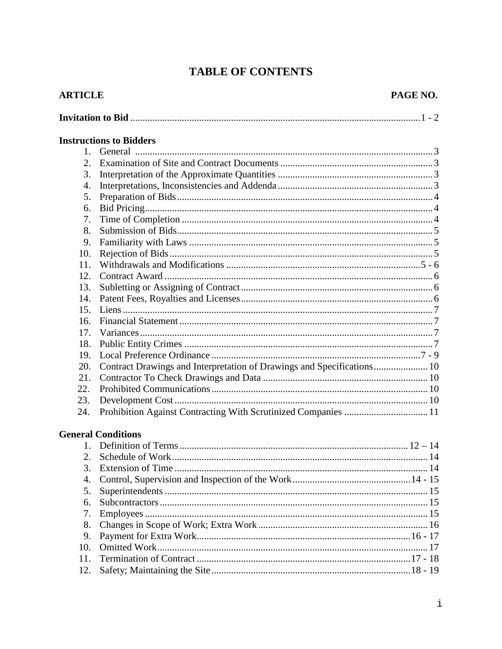# **TABLE OF CONTENTS**

| <b>ARTICLE</b> |                                                                        | PAGE NO. |
|----------------|------------------------------------------------------------------------|----------|
|                |                                                                        |          |
|                | <b>Instructions to Bidders</b>                                         |          |
| $\mathbf{1}$ . |                                                                        |          |
| 2.             |                                                                        |          |
| 3.             |                                                                        |          |
| 4.             |                                                                        |          |
| 5.             |                                                                        |          |
| 6.             |                                                                        |          |
| 7.             |                                                                        |          |
| 8.             |                                                                        |          |
| 9.             |                                                                        |          |
| 10.            |                                                                        |          |
| 11.            |                                                                        |          |
| 12.            |                                                                        |          |
| 13.            |                                                                        |          |
| 14.            |                                                                        |          |
| 15.            |                                                                        |          |
| 16.<br>17.     |                                                                        |          |
| 18.            |                                                                        |          |
| 19.            |                                                                        |          |
| 20.            | Contract Drawings and Interpretation of Drawings and Specifications 10 |          |
| 21.            |                                                                        |          |
| 22.            |                                                                        |          |
| 23.            |                                                                        |          |
| 24.            |                                                                        |          |
|                |                                                                        |          |
|                | <b>General Conditions</b>                                              |          |
|                |                                                                        |          |
|                |                                                                        |          |
| 3.             |                                                                        |          |
| 4.             |                                                                        |          |
| 5.             |                                                                        |          |
| 6.             |                                                                        |          |
| 7.             |                                                                        |          |
| 8.             |                                                                        |          |
| 9.             |                                                                        |          |
| 10.            |                                                                        |          |
| 11.            |                                                                        |          |
| 12.            |                                                                        |          |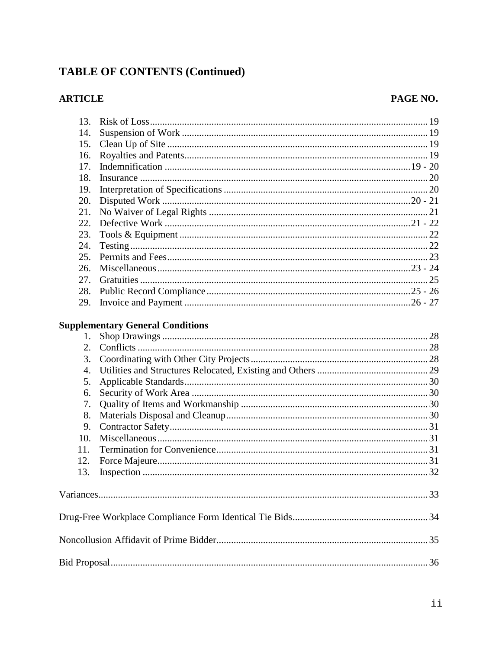# **TABLE OF CONTENTS (Continued)**

# **ARTICLE**

# PAGE NO.

| 13.              |                                         |  |
|------------------|-----------------------------------------|--|
| 14.              |                                         |  |
| 15.              |                                         |  |
| 16.              |                                         |  |
| 17.              |                                         |  |
| 18.              |                                         |  |
| 19.              |                                         |  |
| 20.              |                                         |  |
| 21.              |                                         |  |
| 22.              |                                         |  |
| 23.              |                                         |  |
| 24.              |                                         |  |
| 25.              |                                         |  |
| 26.              |                                         |  |
| 27.              |                                         |  |
| 28.              |                                         |  |
| 29.              |                                         |  |
| 1.               | <b>Supplementary General Conditions</b> |  |
| 2.               |                                         |  |
| 3.               |                                         |  |
| $\overline{4}$ . |                                         |  |
| 5.               |                                         |  |
| 6.               |                                         |  |
| 7.               |                                         |  |
| 8.               |                                         |  |
| 9.               |                                         |  |
| 10.              |                                         |  |
| 11.              |                                         |  |
| 12.              |                                         |  |
| 13.              |                                         |  |
|                  |                                         |  |
|                  |                                         |  |
|                  |                                         |  |
|                  |                                         |  |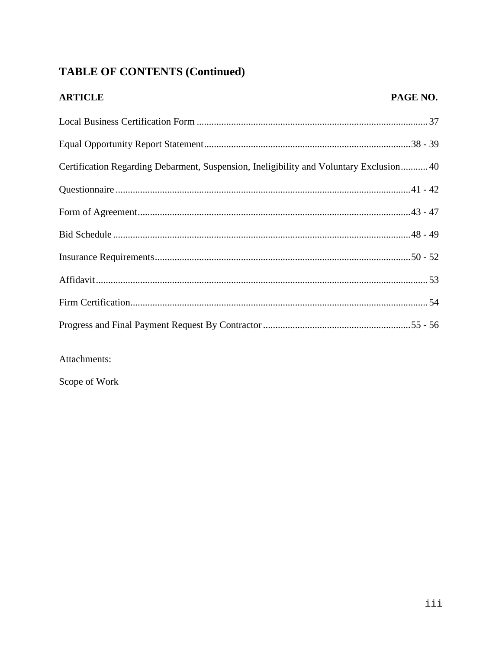# **TABLE OF CONTENTS (Continued)**

| <b>ARTICLE</b>                                                                         | PAGE NO. |
|----------------------------------------------------------------------------------------|----------|
|                                                                                        |          |
|                                                                                        |          |
| Certification Regarding Debarment, Suspension, Ineligibility and Voluntary Exclusion40 |          |
|                                                                                        |          |
|                                                                                        |          |
|                                                                                        |          |
|                                                                                        |          |
|                                                                                        |          |
|                                                                                        |          |
|                                                                                        |          |

Attachments:

Scope of Work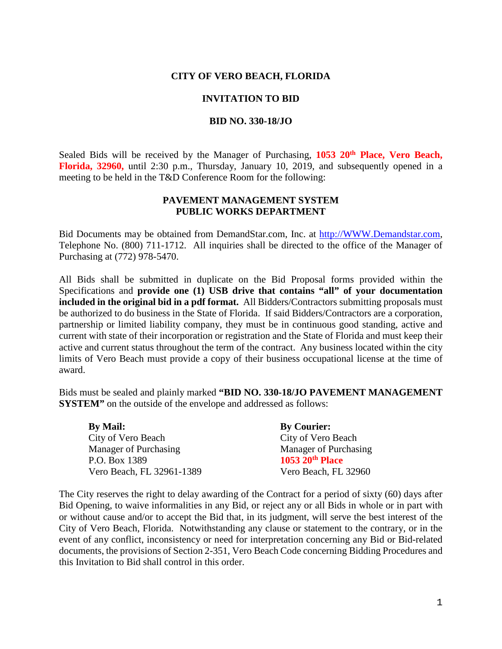### **CITY OF VERO BEACH, FLORIDA**

#### **INVITATION TO BID**

#### **BID NO. 330-18/JO**

Sealed Bids will be received by the Manager of Purchasing, **1053 20<sup>th</sup> Place, Vero Beach, Florida, 32960,** until 2:30 p.m., Thursday, January 10, 2019, and subsequently opened in a meeting to be held in the T&D Conference Room for the following:

### **PAVEMENT MANAGEMENT SYSTEM PUBLIC WORKS DEPARTMENT**

Bid Documents may be obtained from DemandStar.com, Inc. at [http://WWW.Demandstar.com,](http://www.demandstar.com/) Telephone No. (800) 711-1712. All inquiries shall be directed to the office of the Manager of Purchasing at (772) 978-5470.

All Bids shall be submitted in duplicate on the Bid Proposal forms provided within the Specifications and **provide one (1) USB drive that contains "all" of your documentation included in the original bid in a pdf format.** All Bidders/Contractors submitting proposals must be authorized to do business in the State of Florida. If said Bidders/Contractors are a corporation, partnership or limited liability company, they must be in continuous good standing, active and current with state of their incorporation or registration and the State of Florida and must keep their active and current status throughout the term of the contract. Any business located within the city limits of Vero Beach must provide a copy of their business occupational license at the time of award.

Bids must be sealed and plainly marked **"BID NO. 330-18/JO PAVEMENT MANAGEMENT SYSTEM"** on the outside of the envelope and addressed as follows:

| <b>By Mail:</b>           | <b>By Courier:</b>    |
|---------------------------|-----------------------|
| City of Vero Beach        | City of Vero Beach    |
| Manager of Purchasing     | Manager of Purchasing |
| P.O. Box 1389             | 1053 20th Place       |
| Vero Beach, FL 32961-1389 | Vero Beach, FL 32960  |

The City reserves the right to delay awarding of the Contract for a period of sixty (60) days after Bid Opening, to waive informalities in any Bid, or reject any or all Bids in whole or in part with or without cause and/or to accept the Bid that, in its judgment, will serve the best interest of the City of Vero Beach, Florida. Notwithstanding any clause or statement to the contrary, or in the event of any conflict, inconsistency or need for interpretation concerning any Bid or Bid-related documents, the provisions of Section 2-351, Vero Beach Code concerning Bidding Procedures and this Invitation to Bid shall control in this order.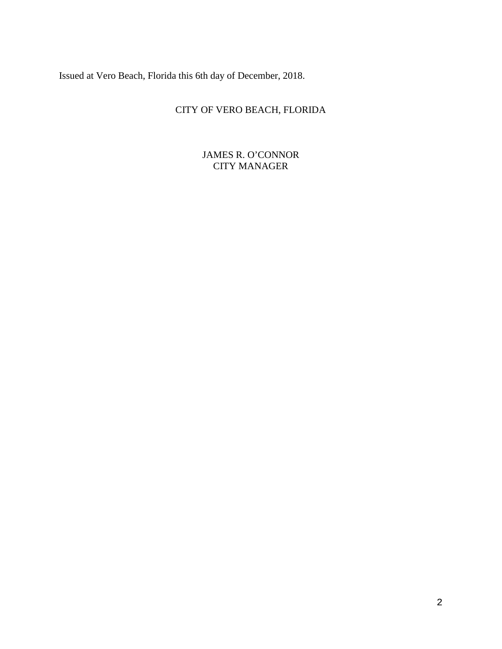Issued at Vero Beach, Florida this 6th day of December, 2018.

# CITY OF VERO BEACH, FLORIDA

JAMES R. O'CONNOR CITY MANAGER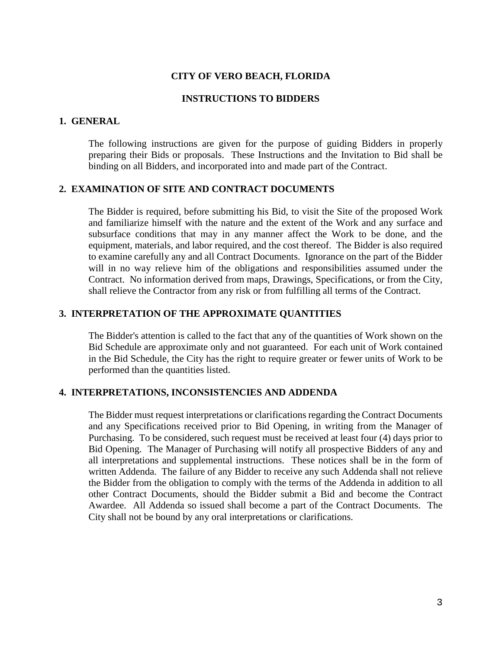#### **CITY OF VERO BEACH, FLORIDA**

### **INSTRUCTIONS TO BIDDERS**

#### **1. GENERAL**

The following instructions are given for the purpose of guiding Bidders in properly preparing their Bids or proposals. These Instructions and the Invitation to Bid shall be binding on all Bidders, and incorporated into and made part of the Contract.

# **2. EXAMINATION OF SITE AND CONTRACT DOCUMENTS**

The Bidder is required, before submitting his Bid, to visit the Site of the proposed Work and familiarize himself with the nature and the extent of the Work and any surface and subsurface conditions that may in any manner affect the Work to be done, and the equipment, materials, and labor required, and the cost thereof. The Bidder is also required to examine carefully any and all Contract Documents. Ignorance on the part of the Bidder will in no way relieve him of the obligations and responsibilities assumed under the Contract. No information derived from maps, Drawings, Specifications, or from the City, shall relieve the Contractor from any risk or from fulfilling all terms of the Contract.

#### **3. INTERPRETATION OF THE APPROXIMATE QUANTITIES**

The Bidder's attention is called to the fact that any of the quantities of Work shown on the Bid Schedule are approximate only and not guaranteed. For each unit of Work contained in the Bid Schedule, the City has the right to require greater or fewer units of Work to be performed than the quantities listed.

### **4. INTERPRETATIONS, INCONSISTENCIES AND ADDENDA**

The Bidder must request interpretations or clarifications regarding the Contract Documents and any Specifications received prior to Bid Opening, in writing from the Manager of Purchasing. To be considered, such request must be received at least four (4) days prior to Bid Opening. The Manager of Purchasing will notify all prospective Bidders of any and all interpretations and supplemental instructions. These notices shall be in the form of written Addenda. The failure of any Bidder to receive any such Addenda shall not relieve the Bidder from the obligation to comply with the terms of the Addenda in addition to all other Contract Documents, should the Bidder submit a Bid and become the Contract Awardee. All Addenda so issued shall become a part of the Contract Documents. The City shall not be bound by any oral interpretations or clarifications.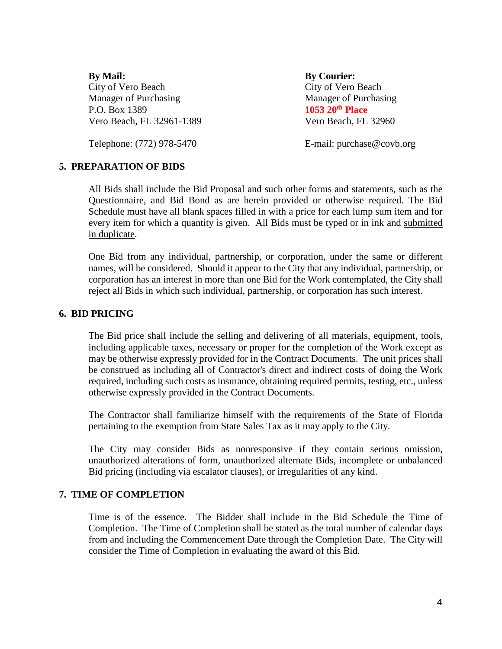**By Mail: By Courier:** City of Vero Beach City of Vero Beach Manager of Purchasing Manager of Purchasing P.O. Box 1389 **1053 20th Place** Vero Beach, FL 32961-1389 Vero Beach, FL 32960

Telephone: (772) 978-5470 E-mail: purchase@covb.org

# **5. PREPARATION OF BIDS**

All Bids shall include the Bid Proposal and such other forms and statements, such as the Questionnaire, and Bid Bond as are herein provided or otherwise required. The Bid Schedule must have all blank spaces filled in with a price for each lump sum item and for every item for which a quantity is given. All Bids must be typed or in ink and submitted in duplicate.

One Bid from any individual, partnership, or corporation, under the same or different names, will be considered. Should it appear to the City that any individual, partnership, or corporation has an interest in more than one Bid for the Work contemplated, the City shall reject all Bids in which such individual, partnership, or corporation has such interest.

# **6. BID PRICING**

The Bid price shall include the selling and delivering of all materials, equipment, tools, including applicable taxes, necessary or proper for the completion of the Work except as may be otherwise expressly provided for in the Contract Documents. The unit prices shall be construed as including all of Contractor's direct and indirect costs of doing the Work required, including such costs as insurance, obtaining required permits, testing, etc., unless otherwise expressly provided in the Contract Documents.

The Contractor shall familiarize himself with the requirements of the State of Florida pertaining to the exemption from State Sales Tax as it may apply to the City.

The City may consider Bids as nonresponsive if they contain serious omission, unauthorized alterations of form, unauthorized alternate Bids, incomplete or unbalanced Bid pricing (including via escalator clauses), or irregularities of any kind.

# **7. TIME OF COMPLETION**

Time is of the essence. The Bidder shall include in the Bid Schedule the Time of Completion. The Time of Completion shall be stated as the total number of calendar days from and including the Commencement Date through the Completion Date. The City will consider the Time of Completion in evaluating the award of this Bid.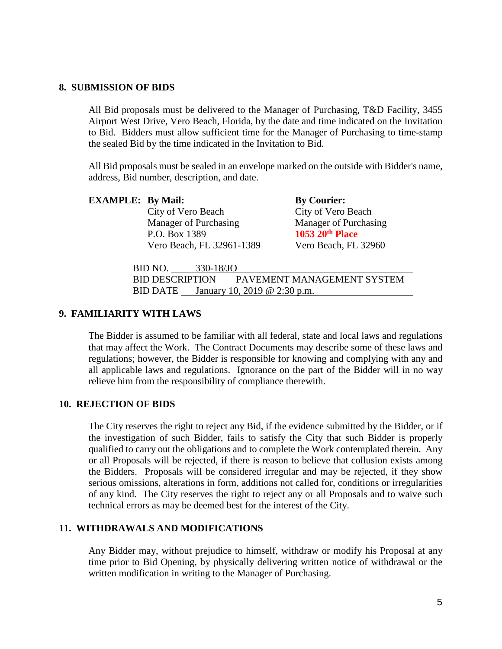#### **8. SUBMISSION OF BIDS**

All Bid proposals must be delivered to the Manager of Purchasing, T&D Facility, 3455 Airport West Drive, Vero Beach, Florida, by the date and time indicated on the Invitation to Bid. Bidders must allow sufficient time for the Manager of Purchasing to time-stamp the sealed Bid by the time indicated in the Invitation to Bid.

All Bid proposals must be sealed in an envelope marked on the outside with Bidder's name, address, Bid number, description, and date.

City of Vero Beach City of Vero Beach Manager of Purchasing Manager of Purchasing P.O. Box 1389 **1053 20th Place** Vero Beach, FL 32961-1389 Vero Beach, FL 32960

**By Courier:** 

BID NO. 330-18/JO

BID DESCRIPTION PAVEMENT MANAGEMENT SYSTEM BID DATE January 10, 2019 @ 2:30 p.m.

# **9. FAMILIARITY WITH LAWS**

The Bidder is assumed to be familiar with all federal, state and local laws and regulations that may affect the Work. The Contract Documents may describe some of these laws and regulations; however, the Bidder is responsible for knowing and complying with any and all applicable laws and regulations. Ignorance on the part of the Bidder will in no way relieve him from the responsibility of compliance therewith.

# **10. REJECTION OF BIDS**

The City reserves the right to reject any Bid, if the evidence submitted by the Bidder, or if the investigation of such Bidder, fails to satisfy the City that such Bidder is properly qualified to carry out the obligations and to complete the Work contemplated therein. Any or all Proposals will be rejected, if there is reason to believe that collusion exists among the Bidders. Proposals will be considered irregular and may be rejected, if they show serious omissions, alterations in form, additions not called for, conditions or irregularities of any kind. The City reserves the right to reject any or all Proposals and to waive such technical errors as may be deemed best for the interest of the City.

# **11. WITHDRAWALS AND MODIFICATIONS**

Any Bidder may, without prejudice to himself, withdraw or modify his Proposal at any time prior to Bid Opening, by physically delivering written notice of withdrawal or the written modification in writing to the Manager of Purchasing.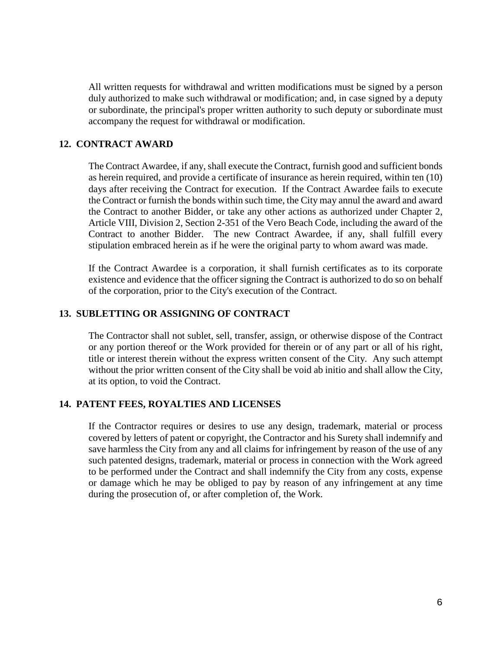All written requests for withdrawal and written modifications must be signed by a person duly authorized to make such withdrawal or modification; and, in case signed by a deputy or subordinate, the principal's proper written authority to such deputy or subordinate must accompany the request for withdrawal or modification.

### **12. CONTRACT AWARD**

The Contract Awardee, if any, shall execute the Contract, furnish good and sufficient bonds as herein required, and provide a certificate of insurance as herein required, within ten (10) days after receiving the Contract for execution. If the Contract Awardee fails to execute the Contract or furnish the bonds within such time, the City may annul the award and award the Contract to another Bidder, or take any other actions as authorized under Chapter 2, Article VIII, Division 2, Section 2-351 of the Vero Beach Code, including the award of the Contract to another Bidder. The new Contract Awardee, if any, shall fulfill every stipulation embraced herein as if he were the original party to whom award was made.

If the Contract Awardee is a corporation, it shall furnish certificates as to its corporate existence and evidence that the officer signing the Contract is authorized to do so on behalf of the corporation, prior to the City's execution of the Contract.

# **13. SUBLETTING OR ASSIGNING OF CONTRACT**

The Contractor shall not sublet, sell, transfer, assign, or otherwise dispose of the Contract or any portion thereof or the Work provided for therein or of any part or all of his right, title or interest therein without the express written consent of the City. Any such attempt without the prior written consent of the City shall be void ab initio and shall allow the City, at its option, to void the Contract.

#### **14. PATENT FEES, ROYALTIES AND LICENSES**

If the Contractor requires or desires to use any design, trademark, material or process covered by letters of patent or copyright, the Contractor and his Surety shall indemnify and save harmless the City from any and all claims for infringement by reason of the use of any such patented designs, trademark, material or process in connection with the Work agreed to be performed under the Contract and shall indemnify the City from any costs, expense or damage which he may be obliged to pay by reason of any infringement at any time during the prosecution of, or after completion of, the Work.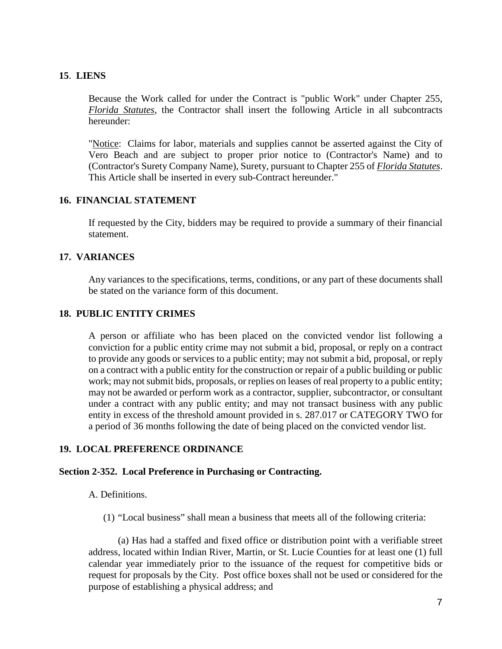# **15**. **LIENS**

Because the Work called for under the Contract is "public Work" under Chapter 255, *Florida Statutes,* the Contractor shall insert the following Article in all subcontracts hereunder:

"Notice: Claims for labor, materials and supplies cannot be asserted against the City of Vero Beach and are subject to proper prior notice to (Contractor's Name) and to (Contractor's Surety Company Name), Surety, pursuant to Chapter 255 of *Florida Statutes*. This Article shall be inserted in every sub-Contract hereunder."

# **16. FINANCIAL STATEMENT**

If requested by the City, bidders may be required to provide a summary of their financial statement.

# **17. VARIANCES**

Any variances to the specifications, terms, conditions, or any part of these documents shall be stated on the variance form of this document.

# **18. PUBLIC ENTITY CRIMES**

A person or affiliate who has been placed on the convicted vendor list following a conviction for a public entity crime may not submit a bid, proposal, or reply on a contract to provide any goods or services to a public entity; may not submit a bid, proposal, or reply on a contract with a public entity for the construction or repair of a public building or public work; may not submit bids, proposals, or replies on leases of real property to a public entity; may not be awarded or perform work as a contractor, supplier, subcontractor, or consultant under a contract with any public entity; and may not transact business with any public entity in excess of the threshold amount provided in s. 287.017 or CATEGORY TWO for a period of 36 months following the date of being placed on the convicted vendor list.

# **19. LOCAL PREFERENCE ORDINANCE**

# **Section 2-352. Local Preference in Purchasing or Contracting.**

A. Definitions.

(1) "Local business" shall mean a business that meets all of the following criteria:

(a) Has had a staffed and fixed office or distribution point with a verifiable street address, located within Indian River, Martin, or St. Lucie Counties for at least one (1) full calendar year immediately prior to the issuance of the request for competitive bids or request for proposals by the City. Post office boxes shall not be used or considered for the purpose of establishing a physical address; and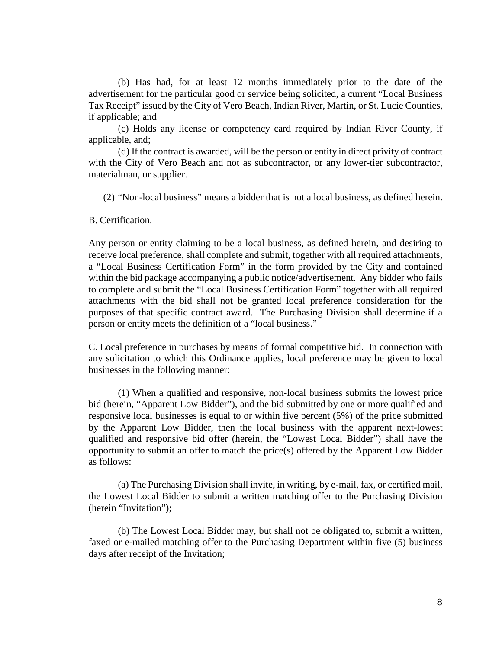(b) Has had, for at least 12 months immediately prior to the date of the advertisement for the particular good or service being solicited, a current "Local Business Tax Receipt" issued by the City of Vero Beach, Indian River, Martin, or St. Lucie Counties, if applicable; and

(c) Holds any license or competency card required by Indian River County, if applicable, and;

(d) If the contract is awarded, will be the person or entity in direct privity of contract with the City of Vero Beach and not as subcontractor, or any lower-tier subcontractor, materialman, or supplier.

(2) "Non-local business" means a bidder that is not a local business, as defined herein.

B. Certification.

Any person or entity claiming to be a local business, as defined herein, and desiring to receive local preference, shall complete and submit, together with all required attachments, a "Local Business Certification Form" in the form provided by the City and contained within the bid package accompanying a public notice/advertisement. Any bidder who fails to complete and submit the "Local Business Certification Form" together with all required attachments with the bid shall not be granted local preference consideration for the purposes of that specific contract award. The Purchasing Division shall determine if a person or entity meets the definition of a "local business."

C. Local preference in purchases by means of formal competitive bid. In connection with any solicitation to which this Ordinance applies, local preference may be given to local businesses in the following manner:

(1) When a qualified and responsive, non-local business submits the lowest price bid (herein, "Apparent Low Bidder"), and the bid submitted by one or more qualified and responsive local businesses is equal to or within five percent (5%) of the price submitted by the Apparent Low Bidder, then the local business with the apparent next-lowest qualified and responsive bid offer (herein, the "Lowest Local Bidder") shall have the opportunity to submit an offer to match the price(s) offered by the Apparent Low Bidder as follows:

(a) The Purchasing Division shall invite, in writing, by e-mail, fax, or certified mail, the Lowest Local Bidder to submit a written matching offer to the Purchasing Division (herein "Invitation");

(b) The Lowest Local Bidder may, but shall not be obligated to, submit a written, faxed or e-mailed matching offer to the Purchasing Department within five (5) business days after receipt of the Invitation;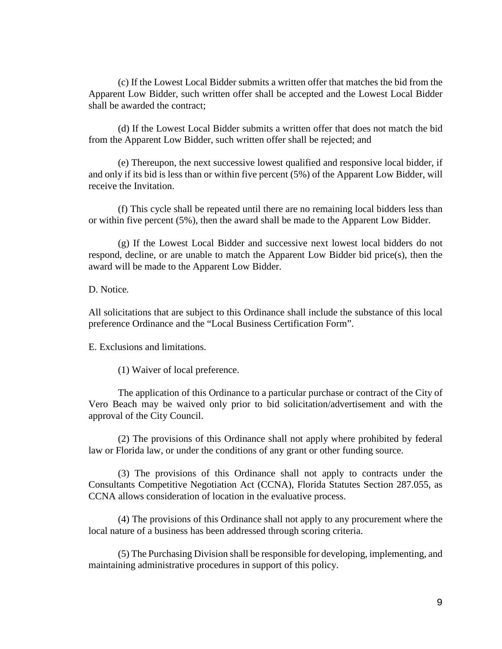(c) If the Lowest Local Bidder submits a written offer that matches the bid from the Apparent Low Bidder, such written offer shall be accepted and the Lowest Local Bidder shall be awarded the contract;

(d) If the Lowest Local Bidder submits a written offer that does not match the bid from the Apparent Low Bidder, such written offer shall be rejected; and

(e) Thereupon, the next successive lowest qualified and responsive local bidder, if and only if its bid is less than or within five percent (5%) of the Apparent Low Bidder, will receive the Invitation.

(f) This cycle shall be repeated until there are no remaining local bidders less than or within five percent (5%), then the award shall be made to the Apparent Low Bidder.

(g) If the Lowest Local Bidder and successive next lowest local bidders do not respond, decline, or are unable to match the Apparent Low Bidder bid price(s), then the award will be made to the Apparent Low Bidder.

D. Notice*.*

All solicitations that are subject to this Ordinance shall include the substance of this local preference Ordinance and the "Local Business Certification Form".

E. Exclusions and limitations.

(1) Waiver of local preference.

The application of this Ordinance to a particular purchase or contract of the City of Vero Beach may be waived only prior to bid solicitation/advertisement and with the approval of the City Council.

(2) The provisions of this Ordinance shall not apply where prohibited by federal law or Florida law, or under the conditions of any grant or other funding source.

(3) The provisions of this Ordinance shall not apply to contracts under the Consultants Competitive Negotiation Act (CCNA), Florida Statutes Section 287.055, as CCNA allows consideration of location in the evaluative process.

(4) The provisions of this Ordinance shall not apply to any procurement where the local nature of a business has been addressed through scoring criteria.

(5) The Purchasing Division shall be responsible for developing, implementing, and maintaining administrative procedures in support of this policy.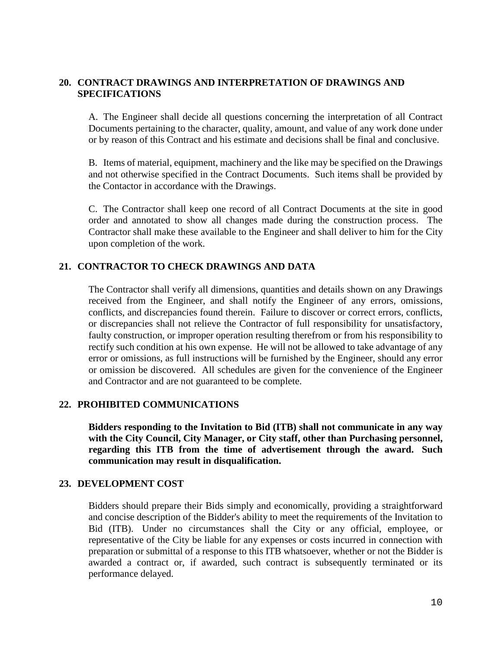# **20. CONTRACT DRAWINGS AND INTERPRETATION OF DRAWINGS AND SPECIFICATIONS**

A. The Engineer shall decide all questions concerning the interpretation of all Contract Documents pertaining to the character, quality, amount, and value of any work done under or by reason of this Contract and his estimate and decisions shall be final and conclusive.

B. Items of material, equipment, machinery and the like may be specified on the Drawings and not otherwise specified in the Contract Documents. Such items shall be provided by the Contactor in accordance with the Drawings.

C. The Contractor shall keep one record of all Contract Documents at the site in good order and annotated to show all changes made during the construction process. The Contractor shall make these available to the Engineer and shall deliver to him for the City upon completion of the work.

# **21. CONTRACTOR TO CHECK DRAWINGS AND DATA**

The Contractor shall verify all dimensions, quantities and details shown on any Drawings received from the Engineer, and shall notify the Engineer of any errors, omissions, conflicts, and discrepancies found therein. Failure to discover or correct errors, conflicts, or discrepancies shall not relieve the Contractor of full responsibility for unsatisfactory, faulty construction, or improper operation resulting therefrom or from his responsibility to rectify such condition at his own expense. He will not be allowed to take advantage of any error or omissions, as full instructions will be furnished by the Engineer, should any error or omission be discovered. All schedules are given for the convenience of the Engineer and Contractor and are not guaranteed to be complete.

# **22. PROHIBITED COMMUNICATIONS**

**Bidders responding to the Invitation to Bid (ITB) shall not communicate in any way with the City Council, City Manager, or City staff, other than Purchasing personnel, regarding this ITB from the time of advertisement through the award. Such communication may result in disqualification.**

#### **23. DEVELOPMENT COST**

Bidders should prepare their Bids simply and economically, providing a straightforward and concise description of the Bidder's ability to meet the requirements of the Invitation to Bid (ITB). Under no circumstances shall the City or any official, employee, or representative of the City be liable for any expenses or costs incurred in connection with preparation or submittal of a response to this ITB whatsoever, whether or not the Bidder is awarded a contract or, if awarded, such contract is subsequently terminated or its performance delayed.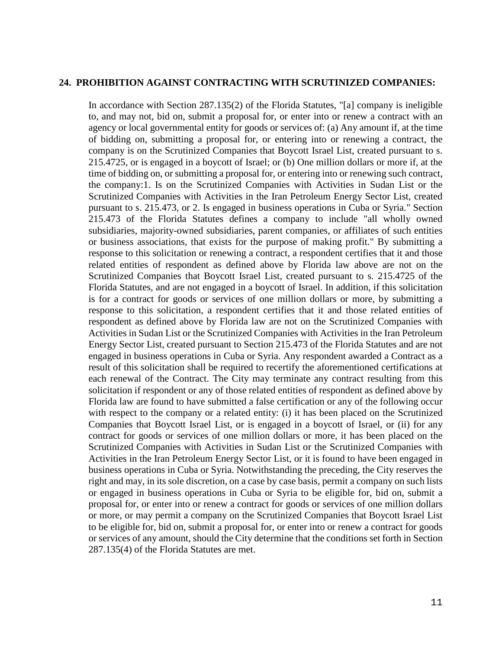#### **24. PROHIBITION AGAINST CONTRACTING WITH SCRUTINIZED COMPANIES:**

In accordance with Section 287.135(2) of the Florida Statutes, "[a] company is ineligible to, and may not, bid on, submit a proposal for, or enter into or renew a contract with an agency or local governmental entity for goods or services of: (a) Any amount if, at the time of bidding on, submitting a proposal for, or entering into or renewing a contract, the company is on the Scrutinized Companies that Boycott Israel List, created pursuant to s. 215.4725, or is engaged in a boycott of Israel; or (b) One million dollars or more if, at the time of bidding on, or submitting a proposal for, or entering into or renewing such contract, the company:1. Is on the Scrutinized Companies with Activities in Sudan List or the Scrutinized Companies with Activities in the Iran Petroleum Energy Sector List, created pursuant to s. 215.473, or 2. Is engaged in business operations in Cuba or Syria." Section 215.473 of the Florida Statutes defines a company to include "all wholly owned subsidiaries, majority-owned subsidiaries, parent companies, or affiliates of such entities or business associations, that exists for the purpose of making profit." By submitting a response to this solicitation or renewing a contract, a respondent certifies that it and those related entities of respondent as defined above by Florida law above are not on the Scrutinized Companies that Boycott Israel List, created pursuant to s. 215.4725 of the Florida Statutes, and are not engaged in a boycott of Israel. In addition, if this solicitation is for a contract for goods or services of one million dollars or more, by submitting a response to this solicitation, a respondent certifies that it and those related entities of respondent as defined above by Florida law are not on the Scrutinized Companies with Activities in Sudan List or the Scrutinized Companies with Activities in the Iran Petroleum Energy Sector List, created pursuant to Section 215.473 of the Florida Statutes and are not engaged in business operations in Cuba or Syria. Any respondent awarded a Contract as a result of this solicitation shall be required to recertify the aforementioned certifications at each renewal of the Contract. The City may terminate any contract resulting from this solicitation if respondent or any of those related entities of respondent as defined above by Florida law are found to have submitted a false certification or any of the following occur with respect to the company or a related entity: (i) it has been placed on the Scrutinized Companies that Boycott Israel List, or is engaged in a boycott of Israel, or (ii) for any contract for goods or services of one million dollars or more, it has been placed on the Scrutinized Companies with Activities in Sudan List or the Scrutinized Companies with Activities in the Iran Petroleum Energy Sector List, or it is found to have been engaged in business operations in Cuba or Syria. Notwithstanding the preceding, the City reserves the right and may, in its sole discretion, on a case by case basis, permit a company on such lists or engaged in business operations in Cuba or Syria to be eligible for, bid on, submit a proposal for, or enter into or renew a contract for goods or services of one million dollars or more, or may permit a company on the Scrutinized Companies that Boycott Israel List to be eligible for, bid on, submit a proposal for, or enter into or renew a contract for goods or services of any amount, should the City determine that the conditions set forth in Section 287.135(4) of the Florida Statutes are met.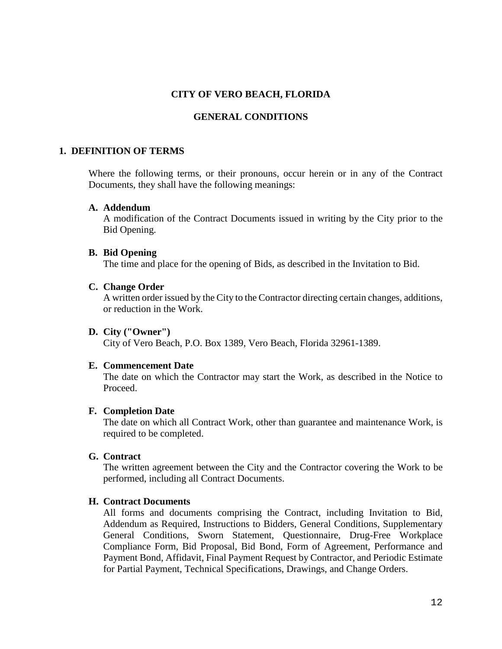# **CITY OF VERO BEACH, FLORIDA**

# **GENERAL CONDITIONS**

#### **1. DEFINITION OF TERMS**

Where the following terms, or their pronouns, occur herein or in any of the Contract Documents, they shall have the following meanings:

#### **A. Addendum**

A modification of the Contract Documents issued in writing by the City prior to the Bid Opening.

#### **B. Bid Opening**

The time and place for the opening of Bids, as described in the Invitation to Bid.

#### **C. Change Order**

A written order issued by the City to the Contractor directing certain changes, additions, or reduction in the Work.

#### **D. City ("Owner")**

City of Vero Beach, P.O. Box 1389, Vero Beach, Florida 32961-1389.

#### **E. Commencement Date**

The date on which the Contractor may start the Work, as described in the Notice to Proceed.

#### **F. Completion Date**

The date on which all Contract Work, other than guarantee and maintenance Work, is required to be completed.

# **G. Contract**

The written agreement between the City and the Contractor covering the Work to be performed, including all Contract Documents.

#### **H. Contract Documents**

All forms and documents comprising the Contract, including Invitation to Bid, Addendum as Required, Instructions to Bidders, General Conditions, Supplementary General Conditions, Sworn Statement, Questionnaire, Drug-Free Workplace Compliance Form, Bid Proposal, Bid Bond, Form of Agreement, Performance and Payment Bond, Affidavit, Final Payment Request by Contractor, and Periodic Estimate for Partial Payment, Technical Specifications, Drawings, and Change Orders.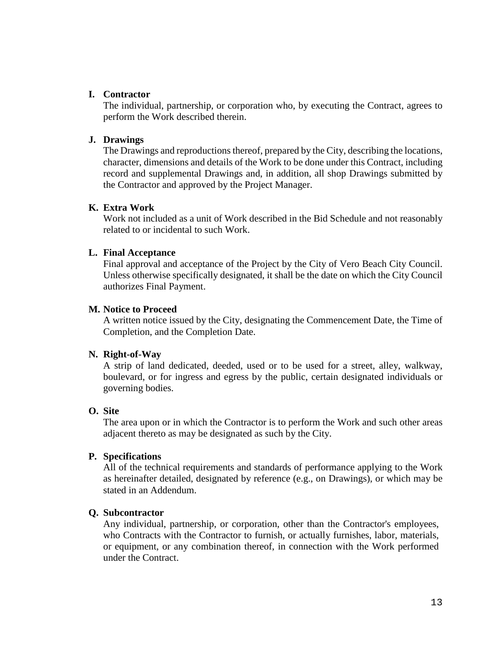# **I. Contractor**

The individual, partnership, or corporation who, by executing the Contract, agrees to perform the Work described therein.

# **J. Drawings**

The Drawings and reproductions thereof, prepared by the City, describing the locations, character, dimensions and details of the Work to be done under this Contract, including record and supplemental Drawings and, in addition, all shop Drawings submitted by the Contractor and approved by the Project Manager.

# **K. Extra Work**

Work not included as a unit of Work described in the Bid Schedule and not reasonably related to or incidental to such Work.

# **L. Final Acceptance**

Final approval and acceptance of the Project by the City of Vero Beach City Council. Unless otherwise specifically designated, it shall be the date on which the City Council authorizes Final Payment.

# **M. Notice to Proceed**

A written notice issued by the City, designating the Commencement Date, the Time of Completion, and the Completion Date.

# **N. Right-of-Way**

A strip of land dedicated, deeded, used or to be used for a street, alley, walkway, boulevard, or for ingress and egress by the public, certain designated individuals or governing bodies.

# **O. Site**

The area upon or in which the Contractor is to perform the Work and such other areas adjacent thereto as may be designated as such by the City.

# **P. Specifications**

All of the technical requirements and standards of performance applying to the Work as hereinafter detailed, designated by reference (e.g., on Drawings), or which may be stated in an Addendum.

# **Q. Subcontractor**

Any individual, partnership, or corporation, other than the Contractor's employees, who Contracts with the Contractor to furnish, or actually furnishes, labor, materials, or equipment, or any combination thereof, in connection with the Work performed under the Contract.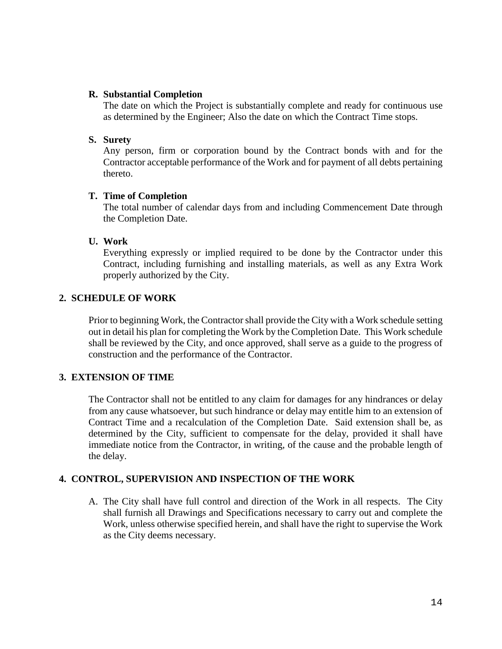# **R. Substantial Completion**

The date on which the Project is substantially complete and ready for continuous use as determined by the Engineer; Also the date on which the Contract Time stops.

# **S. Surety**

Any person, firm or corporation bound by the Contract bonds with and for the Contractor acceptable performance of the Work and for payment of all debts pertaining thereto.

# **T. Time of Completion**

The total number of calendar days from and including Commencement Date through the Completion Date.

# **U. Work**

Everything expressly or implied required to be done by the Contractor under this Contract, including furnishing and installing materials, as well as any Extra Work properly authorized by the City.

# **2. SCHEDULE OF WORK**

Prior to beginning Work, the Contractor shall provide the City with a Work schedule setting out in detail his plan for completing the Work by the Completion Date. This Work schedule shall be reviewed by the City, and once approved, shall serve as a guide to the progress of construction and the performance of the Contractor.

# **3. EXTENSION OF TIME**

The Contractor shall not be entitled to any claim for damages for any hindrances or delay from any cause whatsoever, but such hindrance or delay may entitle him to an extension of Contract Time and a recalculation of the Completion Date. Said extension shall be, as determined by the City, sufficient to compensate for the delay, provided it shall have immediate notice from the Contractor, in writing, of the cause and the probable length of the delay.

# **4. CONTROL, SUPERVISION AND INSPECTION OF THE WORK**

A. The City shall have full control and direction of the Work in all respects. The City shall furnish all Drawings and Specifications necessary to carry out and complete the Work, unless otherwise specified herein, and shall have the right to supervise the Work as the City deems necessary.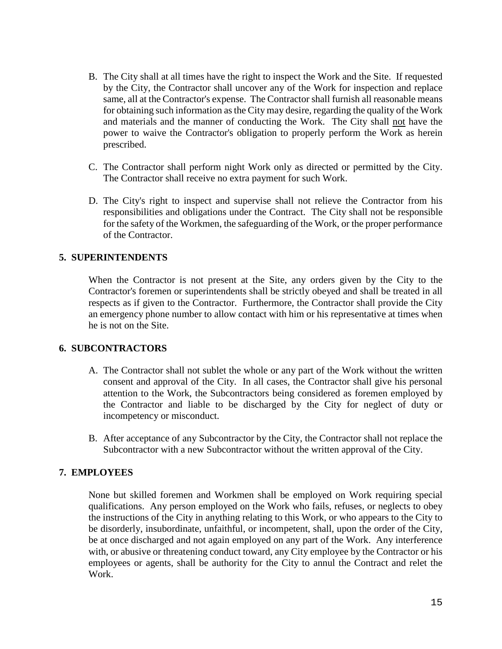- B. The City shall at all times have the right to inspect the Work and the Site. If requested by the City, the Contractor shall uncover any of the Work for inspection and replace same, all at the Contractor's expense. The Contractor shall furnish all reasonable means for obtaining such information as the City may desire, regarding the quality of the Work and materials and the manner of conducting the Work. The City shall not have the power to waive the Contractor's obligation to properly perform the Work as herein prescribed.
- C. The Contractor shall perform night Work only as directed or permitted by the City. The Contractor shall receive no extra payment for such Work.
- D. The City's right to inspect and supervise shall not relieve the Contractor from his responsibilities and obligations under the Contract. The City shall not be responsible for the safety of the Workmen, the safeguarding of the Work, or the proper performance of the Contractor.

# **5. SUPERINTENDENTS**

When the Contractor is not present at the Site, any orders given by the City to the Contractor's foremen or superintendents shall be strictly obeyed and shall be treated in all respects as if given to the Contractor. Furthermore, the Contractor shall provide the City an emergency phone number to allow contact with him or his representative at times when he is not on the Site.

# **6. SUBCONTRACTORS**

- A. The Contractor shall not sublet the whole or any part of the Work without the written consent and approval of the City. In all cases, the Contractor shall give his personal attention to the Work, the Subcontractors being considered as foremen employed by the Contractor and liable to be discharged by the City for neglect of duty or incompetency or misconduct.
- B. After acceptance of any Subcontractor by the City, the Contractor shall not replace the Subcontractor with a new Subcontractor without the written approval of the City.

# **7. EMPLOYEES**

None but skilled foremen and Workmen shall be employed on Work requiring special qualifications. Any person employed on the Work who fails, refuses, or neglects to obey the instructions of the City in anything relating to this Work, or who appears to the City to be disorderly, insubordinate, unfaithful, or incompetent, shall, upon the order of the City, be at once discharged and not again employed on any part of the Work. Any interference with, or abusive or threatening conduct toward, any City employee by the Contractor or his employees or agents, shall be authority for the City to annul the Contract and relet the Work.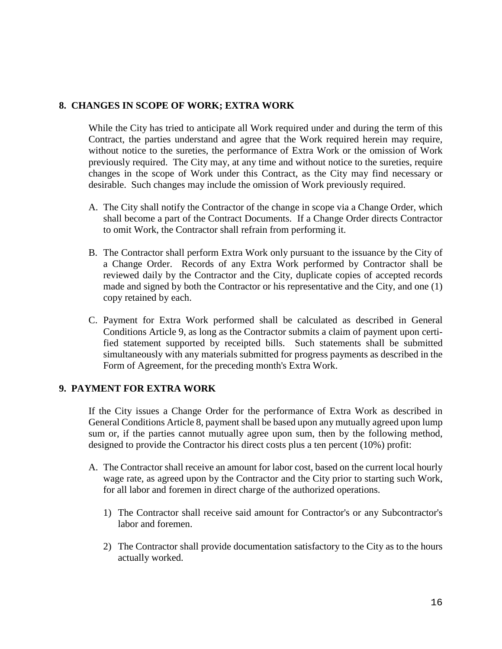# **8. CHANGES IN SCOPE OF WORK; EXTRA WORK**

While the City has tried to anticipate all Work required under and during the term of this Contract, the parties understand and agree that the Work required herein may require, without notice to the sureties, the performance of Extra Work or the omission of Work previously required. The City may, at any time and without notice to the sureties, require changes in the scope of Work under this Contract, as the City may find necessary or desirable. Such changes may include the omission of Work previously required.

- A. The City shall notify the Contractor of the change in scope via a Change Order, which shall become a part of the Contract Documents. If a Change Order directs Contractor to omit Work, the Contractor shall refrain from performing it.
- B. The Contractor shall perform Extra Work only pursuant to the issuance by the City of a Change Order. Records of any Extra Work performed by Contractor shall be reviewed daily by the Contractor and the City, duplicate copies of accepted records made and signed by both the Contractor or his representative and the City, and one (1) copy retained by each.
- C. Payment for Extra Work performed shall be calculated as described in General Conditions Article 9, as long as the Contractor submits a claim of payment upon certified statement supported by receipted bills. Such statements shall be submitted simultaneously with any materials submitted for progress payments as described in the Form of Agreement, for the preceding month's Extra Work.

# **9. PAYMENT FOR EXTRA WORK**

If the City issues a Change Order for the performance of Extra Work as described in General Conditions Article 8, payment shall be based upon any mutually agreed upon lump sum or, if the parties cannot mutually agree upon sum, then by the following method, designed to provide the Contractor his direct costs plus a ten percent (10%) profit:

- A. The Contractor shall receive an amount for labor cost, based on the current local hourly wage rate, as agreed upon by the Contractor and the City prior to starting such Work, for all labor and foremen in direct charge of the authorized operations.
	- 1) The Contractor shall receive said amount for Contractor's or any Subcontractor's labor and foremen.
	- 2) The Contractor shall provide documentation satisfactory to the City as to the hours actually worked.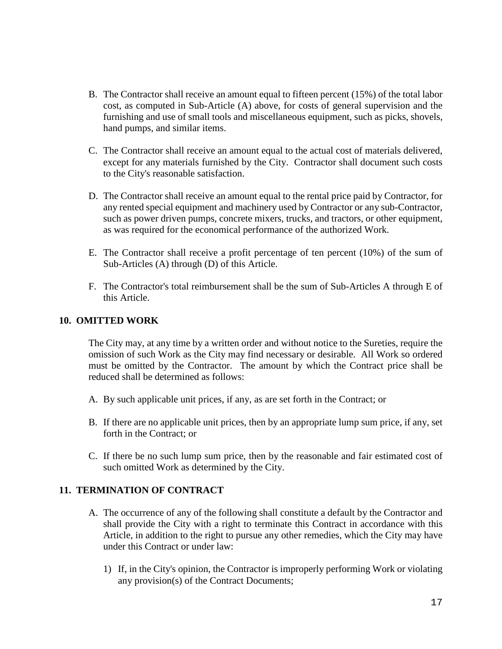- B. The Contractor shall receive an amount equal to fifteen percent (15%) of the total labor cost, as computed in Sub-Article (A) above, for costs of general supervision and the furnishing and use of small tools and miscellaneous equipment, such as picks, shovels, hand pumps, and similar items.
- C. The Contractor shall receive an amount equal to the actual cost of materials delivered, except for any materials furnished by the City. Contractor shall document such costs to the City's reasonable satisfaction.
- D. The Contractor shall receive an amount equal to the rental price paid by Contractor, for any rented special equipment and machinery used by Contractor or any sub-Contractor, such as power driven pumps, concrete mixers, trucks, and tractors, or other equipment, as was required for the economical performance of the authorized Work.
- E. The Contractor shall receive a profit percentage of ten percent (10%) of the sum of Sub-Articles (A) through (D) of this Article.
- F. The Contractor's total reimbursement shall be the sum of Sub-Articles A through E of this Article.

# **10. OMITTED WORK**

The City may, at any time by a written order and without notice to the Sureties, require the omission of such Work as the City may find necessary or desirable. All Work so ordered must be omitted by the Contractor. The amount by which the Contract price shall be reduced shall be determined as follows:

- A. By such applicable unit prices, if any, as are set forth in the Contract; or
- B. If there are no applicable unit prices, then by an appropriate lump sum price, if any, set forth in the Contract; or
- C. If there be no such lump sum price, then by the reasonable and fair estimated cost of such omitted Work as determined by the City.

# **11. TERMINATION OF CONTRACT**

- A. The occurrence of any of the following shall constitute a default by the Contractor and shall provide the City with a right to terminate this Contract in accordance with this Article, in addition to the right to pursue any other remedies, which the City may have under this Contract or under law:
	- 1) If, in the City's opinion, the Contractor is improperly performing Work or violating any provision(s) of the Contract Documents;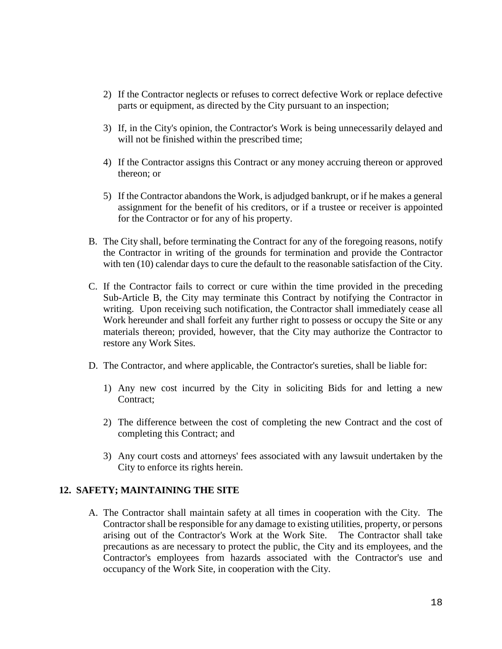- 2) If the Contractor neglects or refuses to correct defective Work or replace defective parts or equipment, as directed by the City pursuant to an inspection;
- 3) If, in the City's opinion, the Contractor's Work is being unnecessarily delayed and will not be finished within the prescribed time;
- 4) If the Contractor assigns this Contract or any money accruing thereon or approved thereon; or
- 5) If the Contractor abandons the Work, is adjudged bankrupt, or if he makes a general assignment for the benefit of his creditors, or if a trustee or receiver is appointed for the Contractor or for any of his property.
- B. The City shall, before terminating the Contract for any of the foregoing reasons, notify the Contractor in writing of the grounds for termination and provide the Contractor with ten (10) calendar days to cure the default to the reasonable satisfaction of the City.
- C. If the Contractor fails to correct or cure within the time provided in the preceding Sub-Article B, the City may terminate this Contract by notifying the Contractor in writing. Upon receiving such notification, the Contractor shall immediately cease all Work hereunder and shall forfeit any further right to possess or occupy the Site or any materials thereon; provided, however, that the City may authorize the Contractor to restore any Work Sites.
- D. The Contractor, and where applicable, the Contractor's sureties, shall be liable for:
	- 1) Any new cost incurred by the City in soliciting Bids for and letting a new Contract;
	- 2) The difference between the cost of completing the new Contract and the cost of completing this Contract; and
	- 3) Any court costs and attorneys' fees associated with any lawsuit undertaken by the City to enforce its rights herein.

# **12. SAFETY; MAINTAINING THE SITE**

A. The Contractor shall maintain safety at all times in cooperation with the City. The Contractor shall be responsible for any damage to existing utilities, property, or persons arising out of the Contractor's Work at the Work Site. The Contractor shall take precautions as are necessary to protect the public, the City and its employees, and the Contractor's employees from hazards associated with the Contractor's use and occupancy of the Work Site, in cooperation with the City.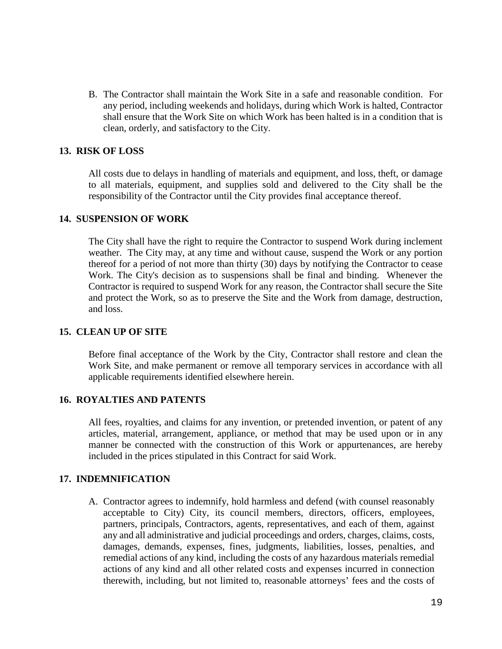B. The Contractor shall maintain the Work Site in a safe and reasonable condition. For any period, including weekends and holidays, during which Work is halted, Contractor shall ensure that the Work Site on which Work has been halted is in a condition that is clean, orderly, and satisfactory to the City.

### **13. RISK OF LOSS**

All costs due to delays in handling of materials and equipment, and loss, theft, or damage to all materials, equipment, and supplies sold and delivered to the City shall be the responsibility of the Contractor until the City provides final acceptance thereof.

### **14. SUSPENSION OF WORK**

The City shall have the right to require the Contractor to suspend Work during inclement weather. The City may, at any time and without cause, suspend the Work or any portion thereof for a period of not more than thirty (30) days by notifying the Contractor to cease Work. The City's decision as to suspensions shall be final and binding. Whenever the Contractor is required to suspend Work for any reason, the Contractor shall secure the Site and protect the Work, so as to preserve the Site and the Work from damage, destruction, and loss.

# **15. CLEAN UP OF SITE**

Before final acceptance of the Work by the City, Contractor shall restore and clean the Work Site, and make permanent or remove all temporary services in accordance with all applicable requirements identified elsewhere herein.

#### **16. ROYALTIES AND PATENTS**

All fees, royalties, and claims for any invention, or pretended invention, or patent of any articles, material, arrangement, appliance, or method that may be used upon or in any manner be connected with the construction of this Work or appurtenances, are hereby included in the prices stipulated in this Contract for said Work.

# **17. INDEMNIFICATION**

A. Contractor agrees to indemnify, hold harmless and defend (with counsel reasonably acceptable to City) City, its council members, directors, officers, employees, partners, principals, Contractors, agents, representatives, and each of them, against any and all administrative and judicial proceedings and orders, charges, claims, costs, damages, demands, expenses, fines, judgments, liabilities, losses, penalties, and remedial actions of any kind, including the costs of any hazardous materials remedial actions of any kind and all other related costs and expenses incurred in connection therewith, including, but not limited to, reasonable attorneys' fees and the costs of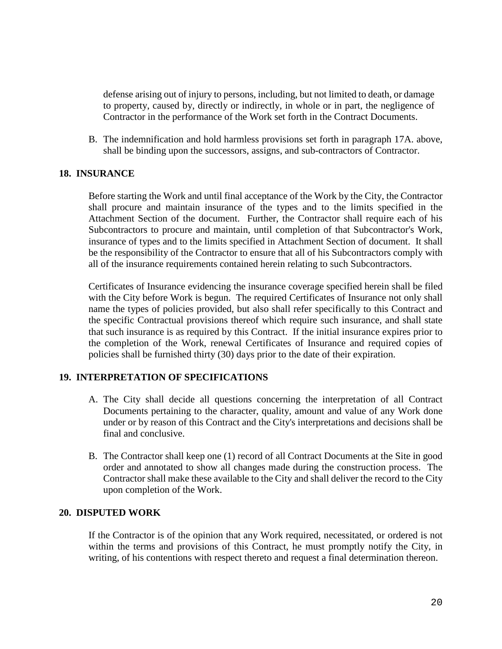defense arising out of injury to persons, including, but not limited to death, or damage to property, caused by, directly or indirectly, in whole or in part, the negligence of Contractor in the performance of the Work set forth in the Contract Documents.

B. The indemnification and hold harmless provisions set forth in paragraph 17A. above, shall be binding upon the successors, assigns, and sub-contractors of Contractor.

# **18. INSURANCE**

Before starting the Work and until final acceptance of the Work by the City, the Contractor shall procure and maintain insurance of the types and to the limits specified in the Attachment Section of the document. Further, the Contractor shall require each of his Subcontractors to procure and maintain, until completion of that Subcontractor's Work, insurance of types and to the limits specified in Attachment Section of document. It shall be the responsibility of the Contractor to ensure that all of his Subcontractors comply with all of the insurance requirements contained herein relating to such Subcontractors.

Certificates of Insurance evidencing the insurance coverage specified herein shall be filed with the City before Work is begun. The required Certificates of Insurance not only shall name the types of policies provided, but also shall refer specifically to this Contract and the specific Contractual provisions thereof which require such insurance, and shall state that such insurance is as required by this Contract. If the initial insurance expires prior to the completion of the Work, renewal Certificates of Insurance and required copies of policies shall be furnished thirty (30) days prior to the date of their expiration.

# **19. INTERPRETATION OF SPECIFICATIONS**

- A. The City shall decide all questions concerning the interpretation of all Contract Documents pertaining to the character, quality, amount and value of any Work done under or by reason of this Contract and the City's interpretations and decisions shall be final and conclusive.
- B. The Contractor shall keep one (1) record of all Contract Documents at the Site in good order and annotated to show all changes made during the construction process. The Contractor shall make these available to the City and shall deliver the record to the City upon completion of the Work.

# **20. DISPUTED WORK**

If the Contractor is of the opinion that any Work required, necessitated, or ordered is not within the terms and provisions of this Contract, he must promptly notify the City, in writing, of his contentions with respect thereto and request a final determination thereon.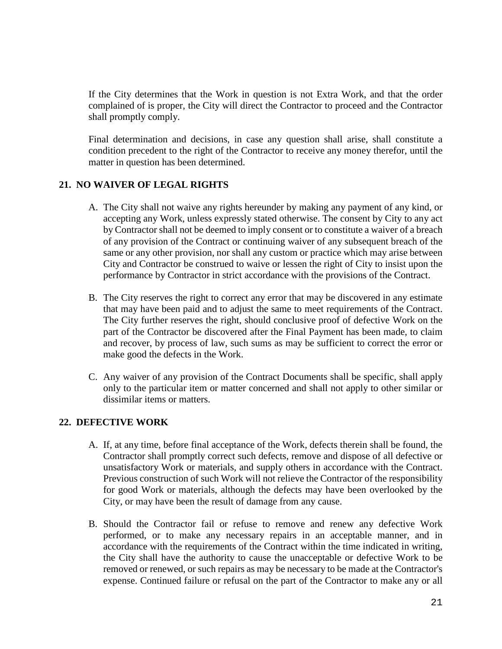If the City determines that the Work in question is not Extra Work, and that the order complained of is proper, the City will direct the Contractor to proceed and the Contractor shall promptly comply.

Final determination and decisions, in case any question shall arise, shall constitute a condition precedent to the right of the Contractor to receive any money therefor, until the matter in question has been determined.

# **21. NO WAIVER OF LEGAL RIGHTS**

- A. The City shall not waive any rights hereunder by making any payment of any kind, or accepting any Work, unless expressly stated otherwise. The consent by City to any act by Contractor shall not be deemed to imply consent or to constitute a waiver of a breach of any provision of the Contract or continuing waiver of any subsequent breach of the same or any other provision, nor shall any custom or practice which may arise between City and Contractor be construed to waive or lessen the right of City to insist upon the performance by Contractor in strict accordance with the provisions of the Contract.
- B. The City reserves the right to correct any error that may be discovered in any estimate that may have been paid and to adjust the same to meet requirements of the Contract. The City further reserves the right, should conclusive proof of defective Work on the part of the Contractor be discovered after the Final Payment has been made, to claim and recover, by process of law, such sums as may be sufficient to correct the error or make good the defects in the Work.
- C. Any waiver of any provision of the Contract Documents shall be specific, shall apply only to the particular item or matter concerned and shall not apply to other similar or dissimilar items or matters.

# **22. DEFECTIVE WORK**

- A. If, at any time, before final acceptance of the Work, defects therein shall be found, the Contractor shall promptly correct such defects, remove and dispose of all defective or unsatisfactory Work or materials, and supply others in accordance with the Contract. Previous construction of such Work will not relieve the Contractor of the responsibility for good Work or materials, although the defects may have been overlooked by the City, or may have been the result of damage from any cause.
- B. Should the Contractor fail or refuse to remove and renew any defective Work performed, or to make any necessary repairs in an acceptable manner, and in accordance with the requirements of the Contract within the time indicated in writing, the City shall have the authority to cause the unacceptable or defective Work to be removed or renewed, or such repairs as may be necessary to be made at the Contractor's expense. Continued failure or refusal on the part of the Contractor to make any or all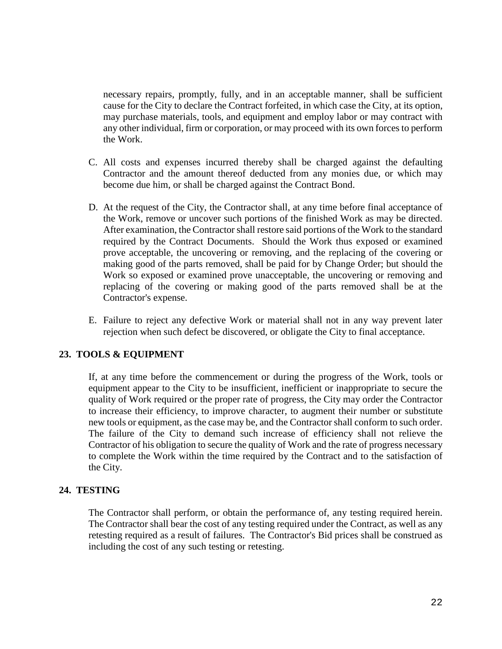necessary repairs, promptly, fully, and in an acceptable manner, shall be sufficient cause for the City to declare the Contract forfeited, in which case the City, at its option, may purchase materials, tools, and equipment and employ labor or may contract with any other individual, firm or corporation, or may proceed with its own forces to perform the Work.

- C. All costs and expenses incurred thereby shall be charged against the defaulting Contractor and the amount thereof deducted from any monies due, or which may become due him, or shall be charged against the Contract Bond.
- D. At the request of the City, the Contractor shall, at any time before final acceptance of the Work, remove or uncover such portions of the finished Work as may be directed. After examination, the Contractor shall restore said portions of the Work to the standard required by the Contract Documents. Should the Work thus exposed or examined prove acceptable, the uncovering or removing, and the replacing of the covering or making good of the parts removed, shall be paid for by Change Order; but should the Work so exposed or examined prove unacceptable, the uncovering or removing and replacing of the covering or making good of the parts removed shall be at the Contractor's expense.
- E. Failure to reject any defective Work or material shall not in any way prevent later rejection when such defect be discovered, or obligate the City to final acceptance.

# **23. TOOLS & EQUIPMENT**

If, at any time before the commencement or during the progress of the Work, tools or equipment appear to the City to be insufficient, inefficient or inappropriate to secure the quality of Work required or the proper rate of progress, the City may order the Contractor to increase their efficiency, to improve character, to augment their number or substitute new tools or equipment, as the case may be, and the Contractor shall conform to such order. The failure of the City to demand such increase of efficiency shall not relieve the Contractor of his obligation to secure the quality of Work and the rate of progress necessary to complete the Work within the time required by the Contract and to the satisfaction of the City.

# **24. TESTING**

The Contractor shall perform, or obtain the performance of, any testing required herein. The Contractor shall bear the cost of any testing required under the Contract, as well as any retesting required as a result of failures. The Contractor's Bid prices shall be construed as including the cost of any such testing or retesting.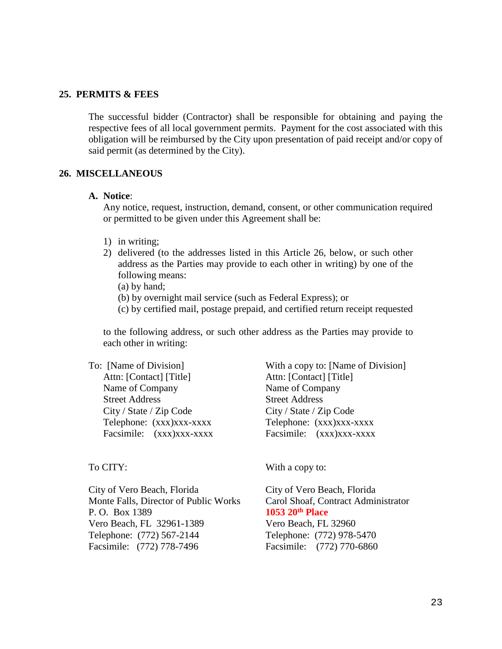#### **25. PERMITS & FEES**

The successful bidder (Contractor) shall be responsible for obtaining and paying the respective fees of all local government permits. Payment for the cost associated with this obligation will be reimbursed by the City upon presentation of paid receipt and/or copy of said permit (as determined by the City).

#### **26. MISCELLANEOUS**

#### **A. Notice**:

Any notice, request, instruction, demand, consent, or other communication required or permitted to be given under this Agreement shall be:

- 1) in writing;
- 2) delivered (to the addresses listed in this Article 26, below, or such other address as the Parties may provide to each other in writing) by one of the following means:
	- (a) by hand;
	- (b) by overnight mail service (such as Federal Express); or
	- (c) by certified mail, postage prepaid, and certified return receipt requested

to the following address, or such other address as the Parties may provide to each other in writing:

To: [Name of Division] With a copy to: [Name of Division] Attn: [Contact] [Title] Attn: [Contact] [Title] Name of Company Name of Company Street Address Street Address City / State / Zip Code City / State / Zip Code

Telephone: (xxx)xxx-xxxx<br>Telephone: (xxx)xxx-xxxx Facsimile:  $(xxx)xxx-xxxx$  Facsimile:  $(xxx)xxx-xxxx$ 

City of Vero Beach, Florida City of Vero Beach, Florida Monte Falls, Director of Public Works Carol Shoaf, Contract Administrator P. O. Box 1389<br>
Vero Beach. FL 32961-1389<br>
Vero Beach. FL 32960 Vero Beach, FL 32961-1389 Telephone: (772) 567-2144 Telephone: (772) 978-5470 Facsimile: (772) 778-7496 Facsimile: (772) 770-6860

To CITY: With a copy to: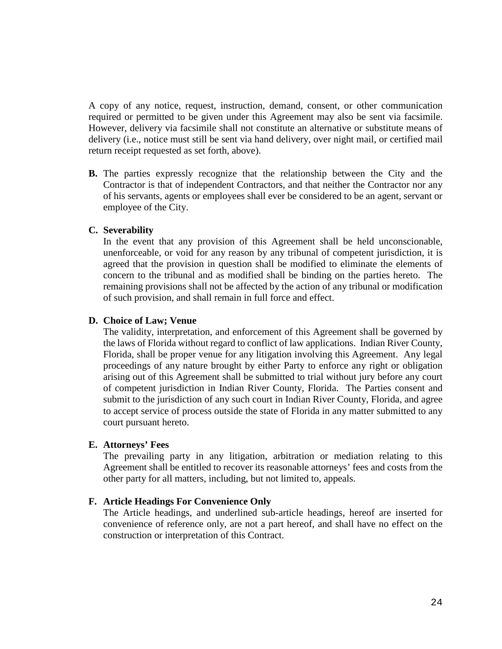A copy of any notice, request, instruction, demand, consent, or other communication required or permitted to be given under this Agreement may also be sent via facsimile. However, delivery via facsimile shall not constitute an alternative or substitute means of delivery (i.e., notice must still be sent via hand delivery, over night mail, or certified mail return receipt requested as set forth, above).

**B.** The parties expressly recognize that the relationship between the City and the Contractor is that of independent Contractors, and that neither the Contractor nor any of his servants, agents or employees shall ever be considered to be an agent, servant or employee of the City.

# **C. Severability**

In the event that any provision of this Agreement shall be held unconscionable, unenforceable, or void for any reason by any tribunal of competent jurisdiction, it is agreed that the provision in question shall be modified to eliminate the elements of concern to the tribunal and as modified shall be binding on the parties hereto. The remaining provisions shall not be affected by the action of any tribunal or modification of such provision, and shall remain in full force and effect.

# **D. Choice of Law; Venue**

The validity, interpretation, and enforcement of this Agreement shall be governed by the laws of Florida without regard to conflict of law applications. Indian River County, Florida, shall be proper venue for any litigation involving this Agreement. Any legal proceedings of any nature brought by either Party to enforce any right or obligation arising out of this Agreement shall be submitted to trial without jury before any court of competent jurisdiction in Indian River County, Florida. The Parties consent and submit to the jurisdiction of any such court in Indian River County, Florida, and agree to accept service of process outside the state of Florida in any matter submitted to any court pursuant hereto.

# **E. Attorneys' Fees**

The prevailing party in any litigation, arbitration or mediation relating to this Agreement shall be entitled to recover its reasonable attorneys' fees and costs from the other party for all matters, including, but not limited to, appeals.

# **F. Article Headings For Convenience Only**

The Article headings, and underlined sub-article headings, hereof are inserted for convenience of reference only, are not a part hereof, and shall have no effect on the construction or interpretation of this Contract.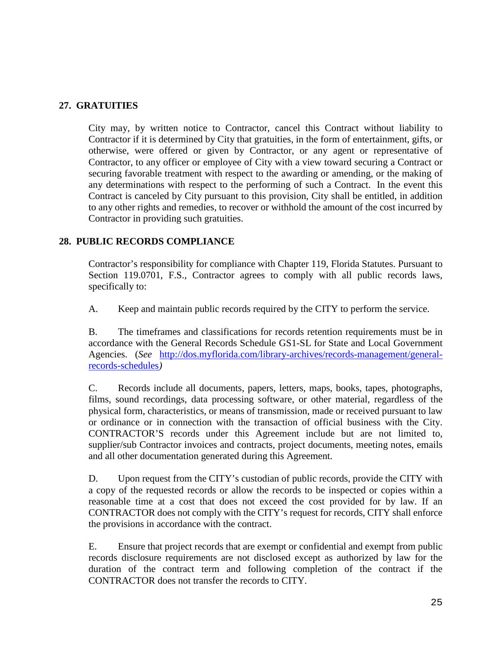# **27. GRATUITIES**

City may, by written notice to Contractor, cancel this Contract without liability to Contractor if it is determined by City that gratuities, in the form of entertainment, gifts, or otherwise, were offered or given by Contractor, or any agent or representative of Contractor, to any officer or employee of City with a view toward securing a Contract or securing favorable treatment with respect to the awarding or amending, or the making of any determinations with respect to the performing of such a Contract. In the event this Contract is canceled by City pursuant to this provision, City shall be entitled, in addition to any other rights and remedies, to recover or withhold the amount of the cost incurred by Contractor in providing such gratuities.

# **28. PUBLIC RECORDS COMPLIANCE**

Contractor's responsibility for compliance with Chapter 119, Florida Statutes. Pursuant to Section 119.0701, F.S., Contractor agrees to comply with all public records laws, specifically to:

A. Keep and maintain public records required by the CITY to perform the service.

B. The timeframes and classifications for records retention requirements must be in accordance with the General Records Schedule GS1-SL for State and Local Government Agencies. (*See* [http://dos.myflorida.com/library-archives/records-management/general](http://dos.myflorida.com/library-archives/records-management/general-records-schedules)[records-schedules](http://dos.myflorida.com/library-archives/records-management/general-records-schedules)*)*

C. Records include all documents, papers, letters, maps, books, tapes, photographs, films, sound recordings, data processing software, or other material, regardless of the physical form, characteristics, or means of transmission, made or received pursuant to law or ordinance or in connection with the transaction of official business with the City. CONTRACTOR'S records under this Agreement include but are not limited to, supplier/sub Contractor invoices and contracts, project documents, meeting notes, emails and all other documentation generated during this Agreement.

D. Upon request from the CITY's custodian of public records, provide the CITY with a copy of the requested records or allow the records to be inspected or copies within a reasonable time at a cost that does not exceed the cost provided for by law. If an CONTRACTOR does not comply with the CITY's request for records, CITY shall enforce the provisions in accordance with the contract.

E. Ensure that project records that are exempt or confidential and exempt from public records disclosure requirements are not disclosed except as authorized by law for the duration of the contract term and following completion of the contract if the CONTRACTOR does not transfer the records to CITY.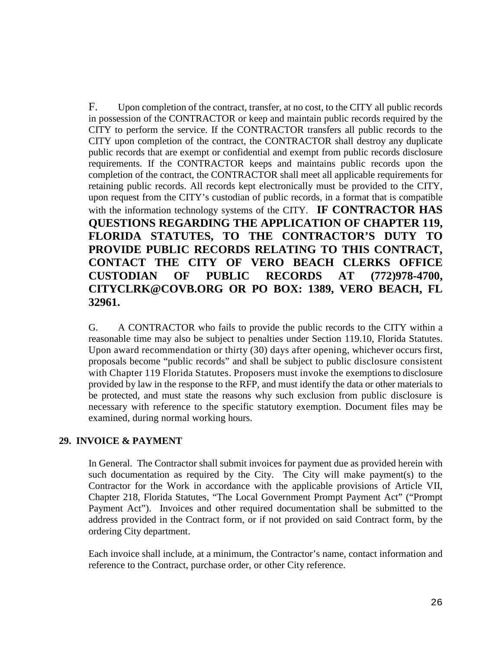F. Upon completion of the contract, transfer, at no cost, to the CITY all public records in possession of the CONTRACTOR or keep and maintain public records required by the CITY to perform the service. If the CONTRACTOR transfers all public records to the CITY upon completion of the contract, the CONTRACTOR shall destroy any duplicate public records that are exempt or confidential and exempt from public records disclosure requirements. If the CONTRACTOR keeps and maintains public records upon the completion of the contract, the CONTRACTOR shall meet all applicable requirements for retaining public records. All records kept electronically must be provided to the CITY, upon request from the CITY's custodian of public records, in a format that is compatible with the information technology systems of the CITY. **IF CONTRACTOR HAS QUESTIONS REGARDING THE APPLICATION OF CHAPTER 119, FLORIDA STATUTES, TO THE CONTRACTOR'S DUTY TO PROVIDE PUBLIC RECORDS RELATING TO THIS CONTRACT, CONTACT THE CITY OF VERO BEACH CLERKS OFFICE CUSTODIAN OF PUBLIC RECORDS AT (772)978-4700, CITYCLRK@COVB.ORG OR PO BOX: 1389, VERO BEACH, FL 32961.**

G. A CONTRACTOR who fails to provide the public records to the CITY within a reasonable time may also be subject to penalties under Section 119.10, Florida Statutes. Upon award recommendation or thirty (30) days after opening, whichever occurs first, proposals become "public records" and shall be subject to public disclosure consistent with Chapter 119 Florida Statutes. Proposers must invoke the exemptions to disclosure provided by law in the response to the RFP, and must identify the data or other materials to be protected, and must state the reasons why such exclusion from public disclosure is necessary with reference to the specific statutory exemption. Document files may be examined, during normal working hours.

# **29. INVOICE & PAYMENT**

In General. The Contractor shall submit invoices for payment due as provided herein with such documentation as required by the City. The City will make payment(s) to the Contractor for the Work in accordance with the applicable provisions of Article VII, Chapter 218, Florida Statutes, "The Local Government Prompt Payment Act" ("Prompt Payment Act"). Invoices and other required documentation shall be submitted to the address provided in the Contract form, or if not provided on said Contract form, by the ordering City department.

Each invoice shall include, at a minimum, the Contractor's name, contact information and reference to the Contract, purchase order, or other City reference.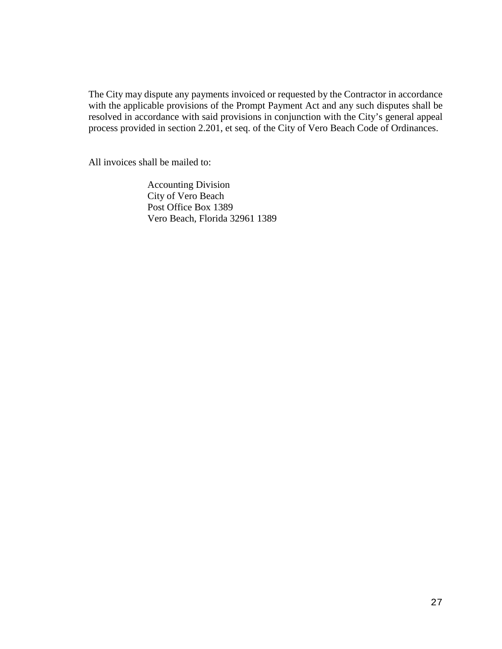The City may dispute any payments invoiced or requested by the Contractor in accordance with the applicable provisions of the Prompt Payment Act and any such disputes shall be resolved in accordance with said provisions in conjunction with the City's general appeal process provided in section 2.201, et seq. of the City of Vero Beach Code of Ordinances.

All invoices shall be mailed to:

 Accounting Division City of Vero Beach Post Office Box 1389 Vero Beach, Florida 32961 1389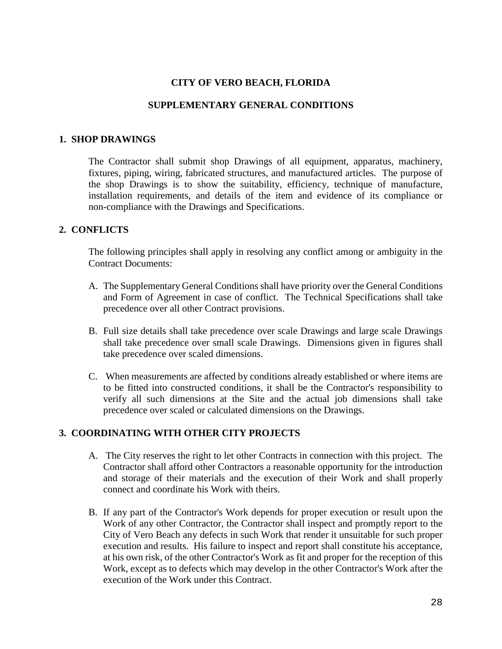# **CITY OF VERO BEACH, FLORIDA**

# **SUPPLEMENTARY GENERAL CONDITIONS**

#### **1. SHOP DRAWINGS**

The Contractor shall submit shop Drawings of all equipment, apparatus, machinery, fixtures, piping, wiring, fabricated structures, and manufactured articles. The purpose of the shop Drawings is to show the suitability, efficiency, technique of manufacture, installation requirements, and details of the item and evidence of its compliance or non-compliance with the Drawings and Specifications.

# **2. CONFLICTS**

The following principles shall apply in resolving any conflict among or ambiguity in the Contract Documents:

- A. The Supplementary General Conditions shall have priority over the General Conditions and Form of Agreement in case of conflict. The Technical Specifications shall take precedence over all other Contract provisions.
- B. Full size details shall take precedence over scale Drawings and large scale Drawings shall take precedence over small scale Drawings. Dimensions given in figures shall take precedence over scaled dimensions.
- C. When measurements are affected by conditions already established or where items are to be fitted into constructed conditions, it shall be the Contractor's responsibility to verify all such dimensions at the Site and the actual job dimensions shall take precedence over scaled or calculated dimensions on the Drawings.

# **3. COORDINATING WITH OTHER CITY PROJECTS**

- A. The City reserves the right to let other Contracts in connection with this project. The Contractor shall afford other Contractors a reasonable opportunity for the introduction and storage of their materials and the execution of their Work and shall properly connect and coordinate his Work with theirs.
- B. If any part of the Contractor's Work depends for proper execution or result upon the Work of any other Contractor, the Contractor shall inspect and promptly report to the City of Vero Beach any defects in such Work that render it unsuitable for such proper execution and results. His failure to inspect and report shall constitute his acceptance, at his own risk, of the other Contractor's Work as fit and proper for the reception of this Work, except as to defects which may develop in the other Contractor's Work after the execution of the Work under this Contract.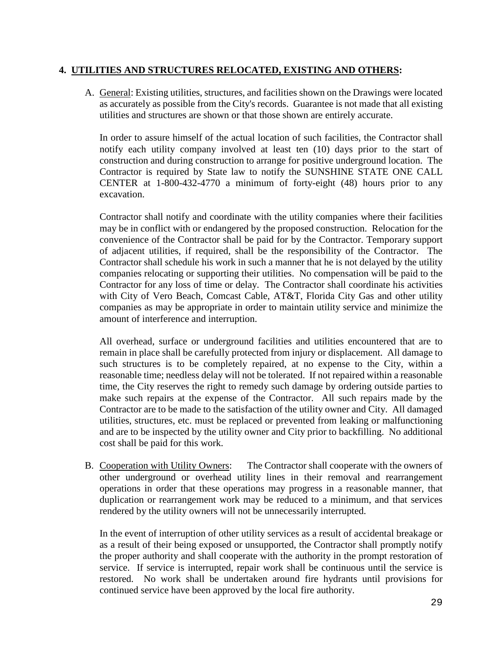# **4. UTILITIES AND STRUCTURES RELOCATED, EXISTING AND OTHERS:**

A. General: Existing utilities, structures, and facilities shown on the Drawings were located as accurately as possible from the City's records. Guarantee is not made that all existing utilities and structures are shown or that those shown are entirely accurate.

In order to assure himself of the actual location of such facilities, the Contractor shall notify each utility company involved at least ten (10) days prior to the start of construction and during construction to arrange for positive underground location. The Contractor is required by State law to notify the SUNSHINE STATE ONE CALL CENTER at 1-800-432-4770 a minimum of forty-eight (48) hours prior to any excavation.

Contractor shall notify and coordinate with the utility companies where their facilities may be in conflict with or endangered by the proposed construction. Relocation for the convenience of the Contractor shall be paid for by the Contractor. Temporary support of adjacent utilities, if required, shall be the responsibility of the Contractor. The Contractor shall schedule his work in such a manner that he is not delayed by the utility companies relocating or supporting their utilities. No compensation will be paid to the Contractor for any loss of time or delay. The Contractor shall coordinate his activities with City of Vero Beach, Comcast Cable, AT&T, Florida City Gas and other utility companies as may be appropriate in order to maintain utility service and minimize the amount of interference and interruption.

All overhead, surface or underground facilities and utilities encountered that are to remain in place shall be carefully protected from injury or displacement. All damage to such structures is to be completely repaired, at no expense to the City, within a reasonable time; needless delay will not be tolerated. If not repaired within a reasonable time, the City reserves the right to remedy such damage by ordering outside parties to make such repairs at the expense of the Contractor. All such repairs made by the Contractor are to be made to the satisfaction of the utility owner and City. All damaged utilities, structures, etc. must be replaced or prevented from leaking or malfunctioning and are to be inspected by the utility owner and City prior to backfilling. No additional cost shall be paid for this work.

B. Cooperation with Utility Owners: The Contractor shall cooperate with the owners of other underground or overhead utility lines in their removal and rearrangement operations in order that these operations may progress in a reasonable manner, that duplication or rearrangement work may be reduced to a minimum, and that services rendered by the utility owners will not be unnecessarily interrupted.

In the event of interruption of other utility services as a result of accidental breakage or as a result of their being exposed or unsupported, the Contractor shall promptly notify the proper authority and shall cooperate with the authority in the prompt restoration of service. If service is interrupted, repair work shall be continuous until the service is restored. No work shall be undertaken around fire hydrants until provisions for continued service have been approved by the local fire authority.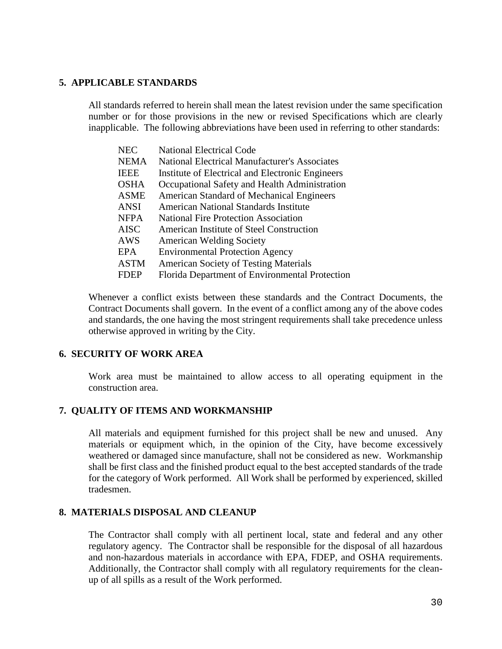# **5. APPLICABLE STANDARDS**

All standards referred to herein shall mean the latest revision under the same specification number or for those provisions in the new or revised Specifications which are clearly inapplicable. The following abbreviations have been used in referring to other standards:

| <b>NEC</b>  | <b>National Electrical Code</b>                      |
|-------------|------------------------------------------------------|
| <b>NEMA</b> | <b>National Electrical Manufacturer's Associates</b> |
| <b>IEEE</b> | Institute of Electrical and Electronic Engineers     |
| <b>OSHA</b> | Occupational Safety and Health Administration        |
| <b>ASME</b> | <b>American Standard of Mechanical Engineers</b>     |
| <b>ANSI</b> | <b>American National Standards Institute</b>         |
| <b>NFPA</b> | <b>National Fire Protection Association</b>          |
| <b>AISC</b> | American Institute of Steel Construction             |
| <b>AWS</b>  | <b>American Welding Society</b>                      |
| EPA         | <b>Environmental Protection Agency</b>               |
| <b>ASTM</b> | <b>American Society of Testing Materials</b>         |
| <b>FDEP</b> | Florida Department of Environmental Protection       |
|             |                                                      |

Whenever a conflict exists between these standards and the Contract Documents, the Contract Documents shall govern. In the event of a conflict among any of the above codes and standards, the one having the most stringent requirements shall take precedence unless otherwise approved in writing by the City.

#### **6. SECURITY OF WORK AREA**

Work area must be maintained to allow access to all operating equipment in the construction area.

# **7. QUALITY OF ITEMS AND WORKMANSHIP**

All materials and equipment furnished for this project shall be new and unused. Any materials or equipment which, in the opinion of the City, have become excessively weathered or damaged since manufacture, shall not be considered as new. Workmanship shall be first class and the finished product equal to the best accepted standards of the trade for the category of Work performed. All Work shall be performed by experienced, skilled tradesmen.

#### **8. MATERIALS DISPOSAL AND CLEANUP**

The Contractor shall comply with all pertinent local, state and federal and any other regulatory agency. The Contractor shall be responsible for the disposal of all hazardous and non-hazardous materials in accordance with EPA, FDEP, and OSHA requirements. Additionally, the Contractor shall comply with all regulatory requirements for the cleanup of all spills as a result of the Work performed.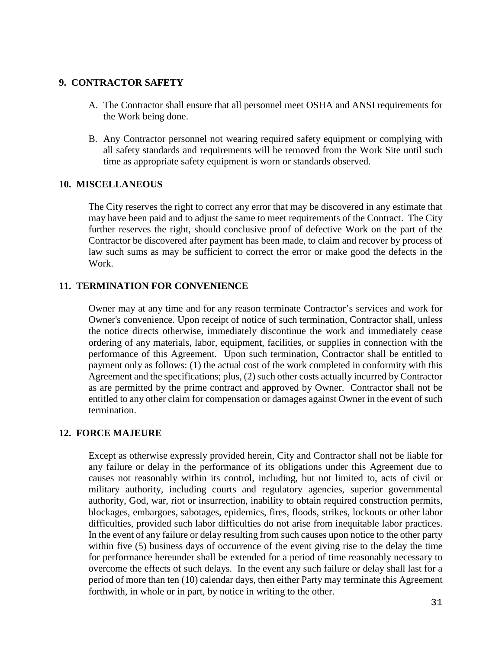# **9. CONTRACTOR SAFETY**

- A. The Contractor shall ensure that all personnel meet OSHA and ANSI requirements for the Work being done.
- B. Any Contractor personnel not wearing required safety equipment or complying with all safety standards and requirements will be removed from the Work Site until such time as appropriate safety equipment is worn or standards observed.

# **10. MISCELLANEOUS**

The City reserves the right to correct any error that may be discovered in any estimate that may have been paid and to adjust the same to meet requirements of the Contract. The City further reserves the right, should conclusive proof of defective Work on the part of the Contractor be discovered after payment has been made, to claim and recover by process of law such sums as may be sufficient to correct the error or make good the defects in the Work.

# **11. TERMINATION FOR CONVENIENCE**

Owner may at any time and for any reason terminate Contractor's services and work for Owner's convenience. Upon receipt of notice of such termination, Contractor shall, unless the notice directs otherwise, immediately discontinue the work and immediately cease ordering of any materials, labor, equipment, facilities, or supplies in connection with the performance of this Agreement. Upon such termination, Contractor shall be entitled to payment only as follows: (1) the actual cost of the work completed in conformity with this Agreement and the specifications; plus, (2) such other costs actually incurred by Contractor as are permitted by the prime contract and approved by Owner. Contractor shall not be entitled to any other claim for compensation or damages against Owner in the event of such termination.

# **12. FORCE MAJEURE**

Except as otherwise expressly provided herein, City and Contractor shall not be liable for any failure or delay in the performance of its obligations under this Agreement due to causes not reasonably within its control, including, but not limited to, acts of civil or military authority, including courts and regulatory agencies, superior governmental authority, God, war, riot or insurrection, inability to obtain required construction permits, blockages, embargoes, sabotages, epidemics, fires, floods, strikes, lockouts or other labor difficulties, provided such labor difficulties do not arise from inequitable labor practices. In the event of any failure or delay resulting from such causes upon notice to the other party within five (5) business days of occurrence of the event giving rise to the delay the time for performance hereunder shall be extended for a period of time reasonably necessary to overcome the effects of such delays. In the event any such failure or delay shall last for a period of more than ten (10) calendar days, then either Party may terminate this Agreement forthwith, in whole or in part, by notice in writing to the other.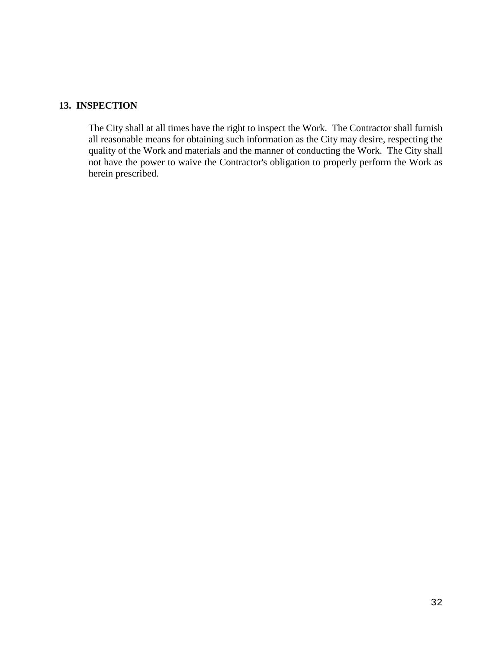# **13. INSPECTION**

The City shall at all times have the right to inspect the Work. The Contractor shall furnish all reasonable means for obtaining such information as the City may desire, respecting the quality of the Work and materials and the manner of conducting the Work. The City shall not have the power to waive the Contractor's obligation to properly perform the Work as herein prescribed.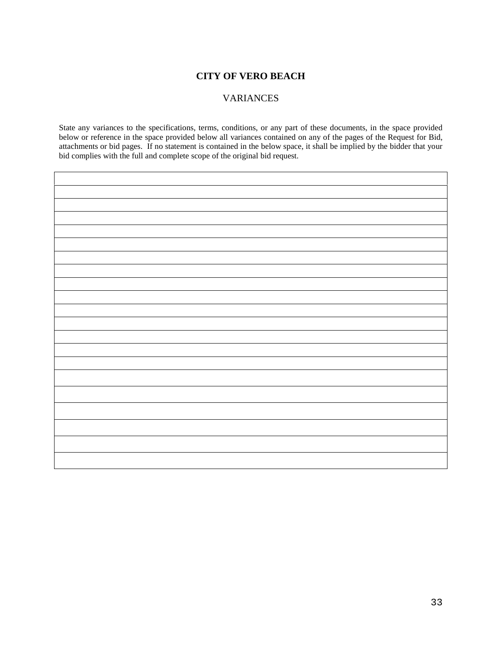### **CITY OF VERO BEACH**

### VARIANCES

State any variances to the specifications, terms, conditions, or any part of these documents, in the space provided below or reference in the space provided below all variances contained on any of the pages of the Request for Bid, attachments or bid pages. If no statement is contained in the below space, it shall be implied by the bidder that your bid complies with the full and complete scope of the original bid request.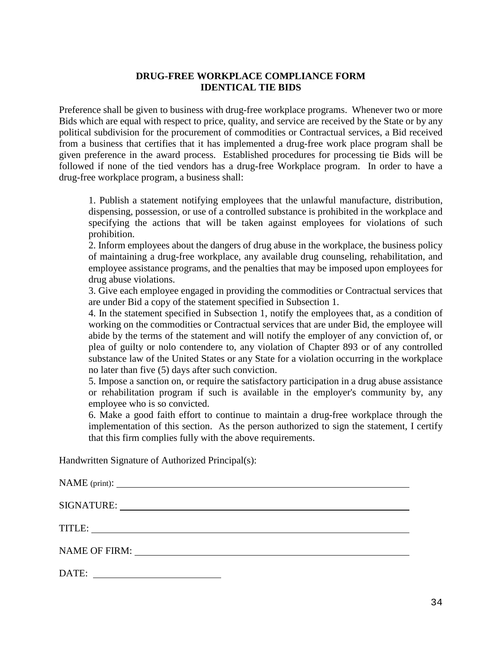# **DRUG-FREE WORKPLACE COMPLIANCE FORM IDENTICAL TIE BIDS**

Preference shall be given to business with drug-free workplace programs. Whenever two or more Bids which are equal with respect to price, quality, and service are received by the State or by any political subdivision for the procurement of commodities or Contractual services, a Bid received from a business that certifies that it has implemented a drug-free work place program shall be given preference in the award process. Established procedures for processing tie Bids will be followed if none of the tied vendors has a drug-free Workplace program. In order to have a drug-free workplace program, a business shall:

1. Publish a statement notifying employees that the unlawful manufacture, distribution, dispensing, possession, or use of a controlled substance is prohibited in the workplace and specifying the actions that will be taken against employees for violations of such prohibition.

2. Inform employees about the dangers of drug abuse in the workplace, the business policy of maintaining a drug-free workplace, any available drug counseling, rehabilitation, and employee assistance programs, and the penalties that may be imposed upon employees for drug abuse violations.

3. Give each employee engaged in providing the commodities or Contractual services that are under Bid a copy of the statement specified in Subsection 1.

4. In the statement specified in Subsection 1, notify the employees that, as a condition of working on the commodities or Contractual services that are under Bid, the employee will abide by the terms of the statement and will notify the employer of any conviction of, or plea of guilty or nolo contendere to, any violation of Chapter 893 or of any controlled substance law of the United States or any State for a violation occurring in the workplace no later than five (5) days after such conviction.

5. Impose a sanction on, or require the satisfactory participation in a drug abuse assistance or rehabilitation program if such is available in the employer's community by, any employee who is so convicted.

6. Make a good faith effort to continue to maintain a drug-free workplace through the implementation of this section. As the person authorized to sign the statement, I certify that this firm complies fully with the above requirements.

Handwritten Signature of Authorized Principal(s):

| TITLE:<br><u> 1989 - Johann Barbara, martxa alemaniar a</u> |
|-------------------------------------------------------------|
| NAME OF FIRM:                                               |
| DATE:                                                       |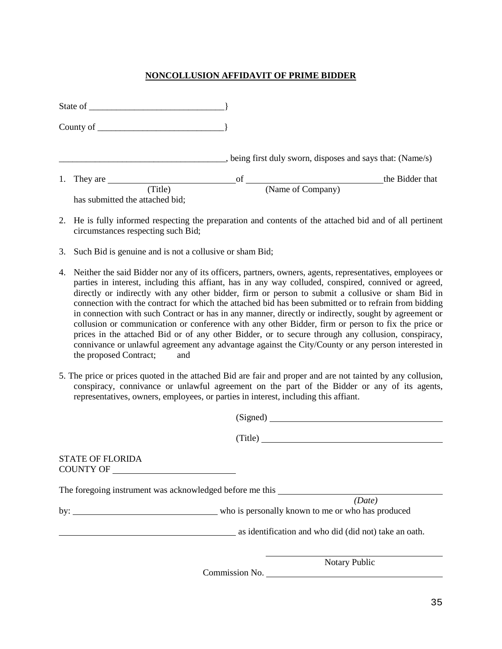#### **NONCOLLUSION AFFIDAVIT OF PRIME BIDDER**

|    | State of the state of the state of the state of the state of the state of the state of the state of the state of the state of the state of the state of the state of the state of the state of the state of the state of the s |                   |                                                          |
|----|--------------------------------------------------------------------------------------------------------------------------------------------------------------------------------------------------------------------------------|-------------------|----------------------------------------------------------|
|    | County of $\sqrt{2}$                                                                                                                                                                                                           |                   |                                                          |
|    |                                                                                                                                                                                                                                |                   | being first duly sworn, disposes and says that: (Name/s) |
| 1. | They are                                                                                                                                                                                                                       | of                | the Bidder that                                          |
|    | (Title)<br>has submitted the attached bid;                                                                                                                                                                                     | (Name of Company) |                                                          |

- 2. He is fully informed respecting the preparation and contents of the attached bid and of all pertinent circumstances respecting such Bid;
- 3. Such Bid is genuine and is not a collusive or sham Bid;
- 4. Neither the said Bidder nor any of its officers, partners, owners, agents, representatives, employees or parties in interest, including this affiant, has in any way colluded, conspired, connived or agreed, directly or indirectly with any other bidder, firm or person to submit a collusive or sham Bid in connection with the contract for which the attached bid has been submitted or to refrain from bidding in connection with such Contract or has in any manner, directly or indirectly, sought by agreement or collusion or communication or conference with any other Bidder, firm or person to fix the price or prices in the attached Bid or of any other Bidder, or to secure through any collusion, conspiracy, connivance or unlawful agreement any advantage against the City/County or any person interested in the proposed Contract; and
- 5. The price or prices quoted in the attached Bid are fair and proper and are not tainted by any collusion, conspiracy, connivance or unlawful agreement on the part of the Bidder or any of its agents, representatives, owners, employees, or parties in interest, including this affiant.

|                         | (Signed)                                                 |
|-------------------------|----------------------------------------------------------|
|                         | (Title)                                                  |
| <b>STATE OF FLORIDA</b> |                                                          |
|                         | The foregoing instrument was acknowledged before me this |
|                         | (Date)                                                   |
|                         | as identification and who did (did not) take an oath.    |
|                         | <b>Notary Public</b>                                     |

Commission No.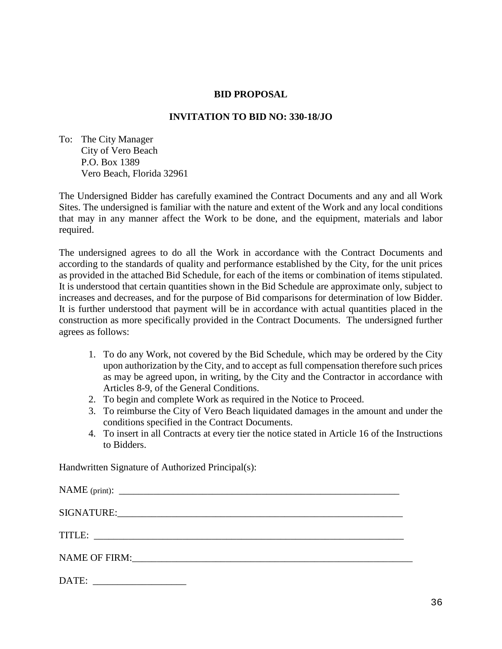# **BID PROPOSAL**

# **INVITATION TO BID NO: 330-18/JO**

To: The City Manager City of Vero Beach P.O. Box 1389 Vero Beach, Florida 32961

The Undersigned Bidder has carefully examined the Contract Documents and any and all Work Sites. The undersigned is familiar with the nature and extent of the Work and any local conditions that may in any manner affect the Work to be done, and the equipment, materials and labor required.

The undersigned agrees to do all the Work in accordance with the Contract Documents and according to the standards of quality and performance established by the City, for the unit prices as provided in the attached Bid Schedule, for each of the items or combination of items stipulated. It is understood that certain quantities shown in the Bid Schedule are approximate only, subject to increases and decreases, and for the purpose of Bid comparisons for determination of low Bidder. It is further understood that payment will be in accordance with actual quantities placed in the construction as more specifically provided in the Contract Documents. The undersigned further agrees as follows:

- 1. To do any Work, not covered by the Bid Schedule, which may be ordered by the City upon authorization by the City, and to accept as full compensation therefore such prices as may be agreed upon, in writing, by the City and the Contractor in accordance with Articles 8-9, of the General Conditions.
- 2. To begin and complete Work as required in the Notice to Proceed.
- 3. To reimburse the City of Vero Beach liquidated damages in the amount and under the conditions specified in the Contract Documents.
- 4. To insert in all Contracts at every tier the notice stated in Article 16 of the Instructions to Bidders.

Handwritten Signature of Authorized Principal(s):

| $\text{DATE:}\quad$ |
|---------------------|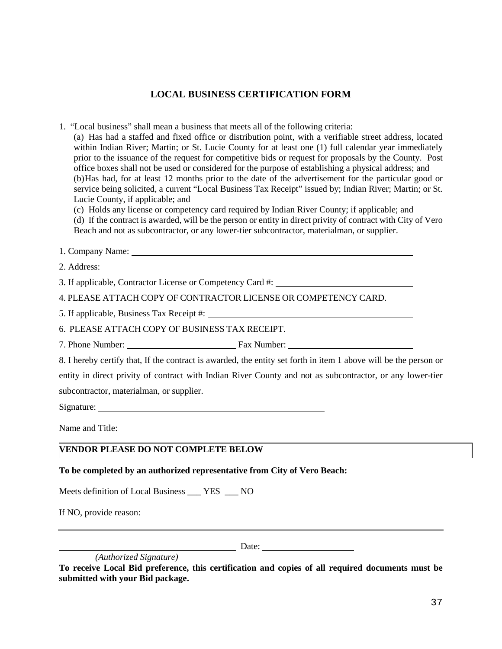# **LOCAL BUSINESS CERTIFICATION FORM**

1. "Local business" shall mean a business that meets all of the following criteria:

(a) Has had a staffed and fixed office or distribution point, with a verifiable street address, located within Indian River; Martin; or St. Lucie County for at least one (1) full calendar year immediately prior to the issuance of the request for competitive bids or request for proposals by the County. Post office boxes shall not be used or considered for the purpose of establishing a physical address; and (b)Has had, for at least 12 months prior to the date of the advertisement for the particular good or service being solicited, a current "Local Business Tax Receipt" issued by; Indian River; Martin; or St. Lucie County, if applicable; and

(c) Holds any license or competency card required by Indian River County; if applicable; and (d) If the contract is awarded, will be the person or entity in direct privity of contract with City of Vero Beach and not as subcontractor, or any lower-tier subcontractor, materialman, or supplier.

1. Company Name:

2. Address:

3. If applicable, Contractor License or Competency Card #:

4. PLEASE ATTACH COPY OF CONTRACTOR LICENSE OR COMPETENCY CARD.

5. If applicable, Business Tax Receipt #:

6. PLEASE ATTACH COPY OF BUSINESS TAX RECEIPT.

7. Phone Number: Fax Number:

8. I hereby certify that, If the contract is awarded, the entity set forth in item 1 above will be the person or entity in direct privity of contract with Indian River County and not as subcontractor, or any lower-tier subcontractor, materialman, or supplier.

Signature:

Name and Title:

# **VENDOR PLEASE DO NOT COMPLETE BELOW**

# **To be completed by an authorized representative from City of Vero Beach:**

Meets definition of Local Business \_\_\_ YES \_\_\_ NO

If NO, provide reason:

Date: 2008. [2010] Date:

 *(Authorized Signature)*

**To receive Local Bid preference, this certification and copies of all required documents must be submitted with your Bid package.**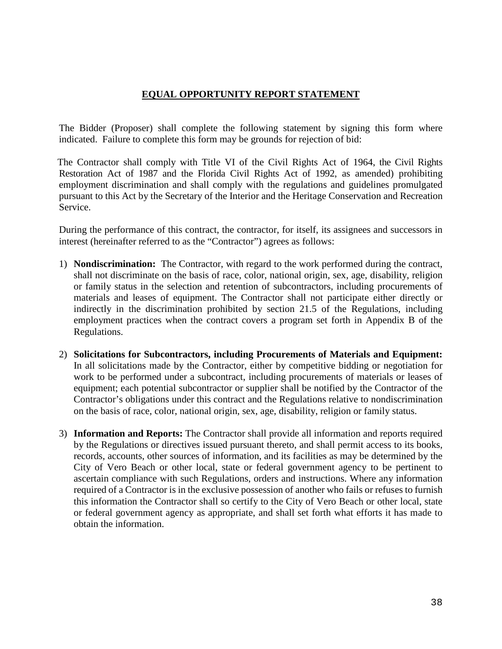# **EQUAL OPPORTUNITY REPORT STATEMENT**

The Bidder (Proposer) shall complete the following statement by signing this form where indicated. Failure to complete this form may be grounds for rejection of bid:

The Contractor shall comply with Title VI of the Civil Rights Act of 1964, the Civil Rights Restoration Act of 1987 and the Florida Civil Rights Act of 1992, as amended) prohibiting employment discrimination and shall comply with the regulations and guidelines promulgated pursuant to this Act by the Secretary of the Interior and the Heritage Conservation and Recreation Service.

During the performance of this contract, the contractor, for itself, its assignees and successors in interest (hereinafter referred to as the "Contractor") agrees as follows:

- 1) **Nondiscrimination:** The Contractor, with regard to the work performed during the contract, shall not discriminate on the basis of race, color, national origin, sex, age, disability, religion or family status in the selection and retention of subcontractors, including procurements of materials and leases of equipment. The Contractor shall not participate either directly or indirectly in the discrimination prohibited by section 21.5 of the Regulations, including employment practices when the contract covers a program set forth in Appendix B of the Regulations.
- 2) **Solicitations for Subcontractors, including Procurements of Materials and Equipment:**  In all solicitations made by the Contractor, either by competitive bidding or negotiation for work to be performed under a subcontract, including procurements of materials or leases of equipment; each potential subcontractor or supplier shall be notified by the Contractor of the Contractor's obligations under this contract and the Regulations relative to nondiscrimination on the basis of race, color, national origin, sex, age, disability, religion or family status.
- 3) **Information and Reports:** The Contractor shall provide all information and reports required by the Regulations or directives issued pursuant thereto, and shall permit access to its books, records, accounts, other sources of information, and its facilities as may be determined by the City of Vero Beach or other local, state or federal government agency to be pertinent to ascertain compliance with such Regulations, orders and instructions. Where any information required of a Contractor is in the exclusive possession of another who fails or refuses to furnish this information the Contractor shall so certify to the City of Vero Beach or other local, state or federal government agency as appropriate, and shall set forth what efforts it has made to obtain the information.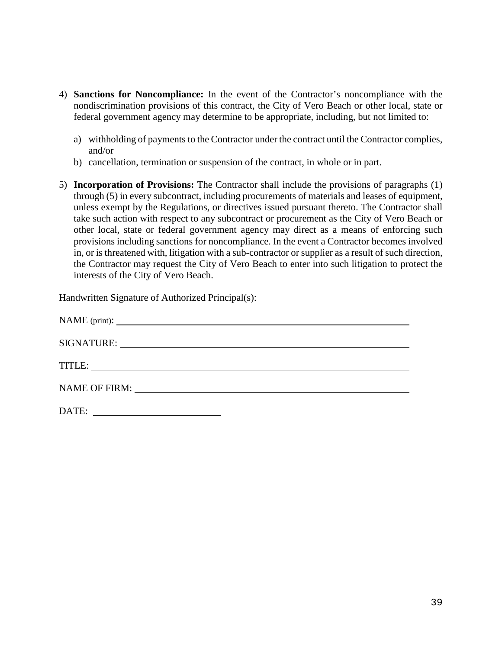- 4) **Sanctions for Noncompliance:** In the event of the Contractor's noncompliance with the nondiscrimination provisions of this contract, the City of Vero Beach or other local, state or federal government agency may determine to be appropriate, including, but not limited to:
	- a) withholding of payments to the Contractor under the contract until the Contractor complies, and/or
	- b) cancellation, termination or suspension of the contract, in whole or in part.
- 5) **Incorporation of Provisions:** The Contractor shall include the provisions of paragraphs (1) through (5) in every subcontract, including procurements of materials and leases of equipment, unless exempt by the Regulations, or directives issued pursuant thereto. The Contractor shall take such action with respect to any subcontract or procurement as the City of Vero Beach or other local, state or federal government agency may direct as a means of enforcing such provisions including sanctions for noncompliance. In the event a Contractor becomes involved in, or is threatened with, litigation with a sub-contractor or supplier as a result of such direction, the Contractor may request the City of Vero Beach to enter into such litigation to protect the interests of the City of Vero Beach.

Handwritten Signature of Authorized Principal(s):

| DATE: |  |
|-------|--|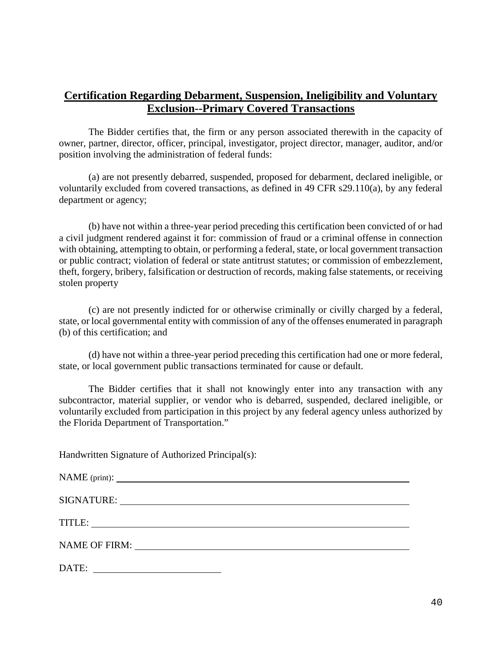# **Certification Regarding Debarment, Suspension, Ineligibility and Voluntary Exclusion--Primary Covered Transactions**

The Bidder certifies that, the firm or any person associated therewith in the capacity of owner, partner, director, officer, principal, investigator, project director, manager, auditor, and/or position involving the administration of federal funds:

(a) are not presently debarred, suspended, proposed for debarment, declared ineligible, or voluntarily excluded from covered transactions, as defined in 49 CFR s29.110(a), by any federal department or agency;

(b) have not within a three-year period preceding this certification been convicted of or had a civil judgment rendered against it for: commission of fraud or a criminal offense in connection with obtaining, attempting to obtain, or performing a federal, state, or local government transaction or public contract; violation of federal or state antitrust statutes; or commission of embezzlement, theft, forgery, bribery, falsification or destruction of records, making false statements, or receiving stolen property

(c) are not presently indicted for or otherwise criminally or civilly charged by a federal, state, or local governmental entity with commission of any of the offenses enumerated in paragraph (b) of this certification; and

(d) have not within a three-year period preceding this certification had one or more federal, state, or local government public transactions terminated for cause or default.

The Bidder certifies that it shall not knowingly enter into any transaction with any subcontractor, material supplier, or vendor who is debarred, suspended, declared ineligible, or voluntarily excluded from participation in this project by any federal agency unless authorized by the Florida Department of Transportation."

Handwritten Signature of Authorized Principal(s):

| SIGNATURE: VERTICAL CONTRACTOR |
|--------------------------------|
|                                |
| NAME OF FIRM: NAME OF FIRM:    |
| DATE:                          |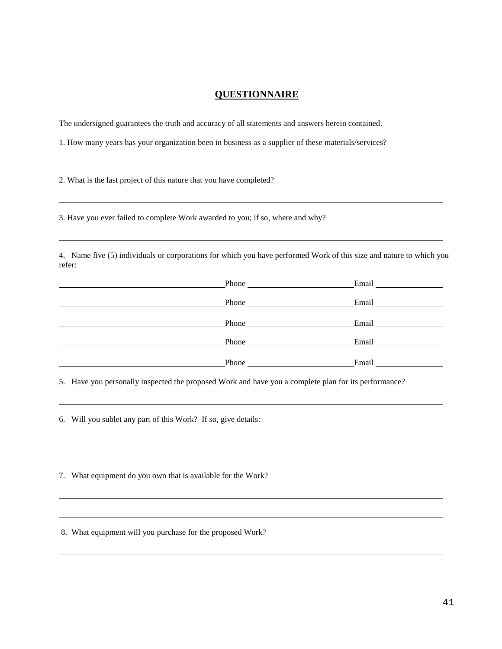### **QUESTIONNAIRE**

The undersigned guarantees the truth and accuracy of all statements and answers herein contained.

1. How many years has your organization been in business as a supplier of these materials/services?

2. What is the last project of this nature that you have completed?

3. Have you ever failed to complete Work awarded to you; if so, where and why?

4. Name five (5) individuals or corporations for which you have performed Work of this size and nature to which you refer:

|       | Email Language and Language and Language and Language and Language and Language and Language and Language and Language and Language and Language and Language and Language and Language and Language and Language and Language                 |
|-------|------------------------------------------------------------------------------------------------------------------------------------------------------------------------------------------------------------------------------------------------|
|       | Email expansion of the state of the state of the state of the state of the state of the state of the state of the state of the state of the state of the state of the state of the state of the state of the state of the stat                 |
|       | Email and the state of the state of the state of the state of the state of the state of the state of the state of the state of the state of the state of the state of the state of the state of the state of the state of the                  |
|       | Email and the same state of the state of the state of the state of the state of the state of the state of the state of the state of the state of the state of the state of the state of the state of the state of the state of<br><b>Phone</b> |
| Phone | Email                                                                                                                                                                                                                                          |

5. Have you personally inspected the proposed Work and have you a complete plan for its performance?

6. Will you sublet any part of this Work? If so, give details:

7. What equipment do you own that is available for the Work?

8. What equipment will you purchase for the proposed Work?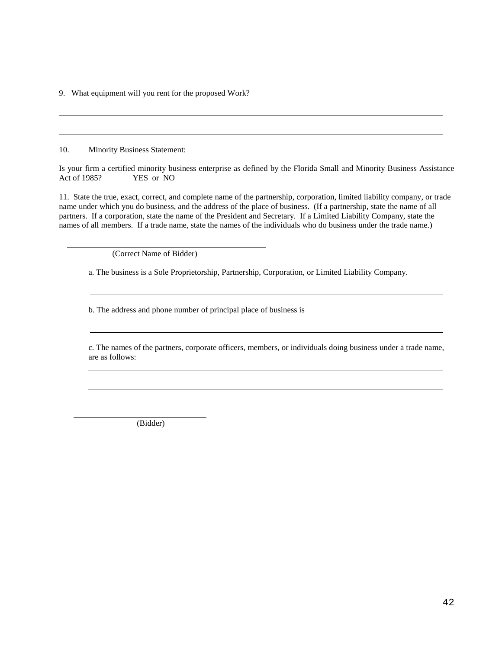9. What equipment will you rent for the proposed Work?

10. Minority Business Statement:

Is your firm a certified minority business enterprise as defined by the Florida Small and Minority Business Assistance Act of 1985? YES or NO

11. State the true, exact, correct, and complete name of the partnership, corporation, limited liability company, or trade name under which you do business, and the address of the place of business. (If a partnership, state the name of all partners. If a corporation, state the name of the President and Secretary. If a Limited Liability Company, state the names of all members. If a trade name, state the names of the individuals who do business under the trade name.)

(Correct Name of Bidder)

a. The business is a Sole Proprietorship, Partnership, Corporation, or Limited Liability Company.

b. The address and phone number of principal place of business is

c. The names of the partners, corporate officers, members, or individuals doing business under a trade name, are as follows:

(Bidder)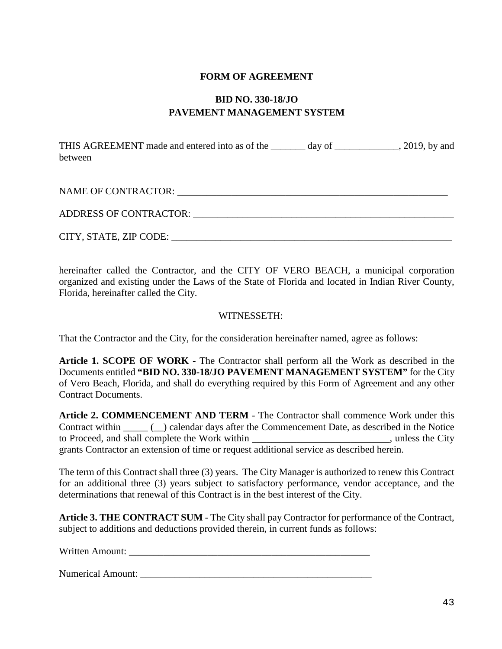# **FORM OF AGREEMENT**

# **BID NO. 330-18/JO PAVEMENT MANAGEMENT SYSTEM**

THIS AGREEMENT made and entered into as of the day of the and entered into as of the day of  $\frac{2019}{1000}$ , by and between

NAME OF CONTRACTOR: \_\_\_\_\_\_\_\_\_\_\_\_\_\_\_\_\_\_\_\_\_\_\_\_\_\_\_\_\_\_\_\_\_\_\_\_\_\_\_\_\_\_\_\_\_\_\_\_\_\_\_\_\_\_\_

ADDRESS OF CONTRACTOR:

CITY, STATE, ZIP CODE: \_\_\_\_\_\_\_\_\_\_\_\_\_\_\_\_\_\_\_\_\_\_\_\_\_\_\_\_\_\_\_\_\_\_\_\_\_\_\_\_\_\_\_\_\_\_\_\_\_\_\_\_\_\_\_\_\_

hereinafter called the Contractor, and the CITY OF VERO BEACH, a municipal corporation organized and existing under the Laws of the State of Florida and located in Indian River County, Florida, hereinafter called the City.

# WITNESSETH:

That the Contractor and the City, for the consideration hereinafter named, agree as follows:

**Article 1. SCOPE OF WORK** - The Contractor shall perform all the Work as described in the Documents entitled **"BID NO. 330-18/JO PAVEMENT MANAGEMENT SYSTEM"** for the City of Vero Beach, Florida, and shall do everything required by this Form of Agreement and any other Contract Documents.

**Article 2. COMMENCEMENT AND TERM** - The Contractor shall commence Work under this Contract within  $\qquad \qquad$  ( $\qquad$ ) calendar days after the Commencement Date, as described in the Notice to Proceed, and shall complete the Work within the state of the City of the City of the City of the City of the City grants Contractor an extension of time or request additional service as described herein.

The term of this Contract shall three (3) years. The City Manager is authorized to renew this Contract for an additional three (3) years subject to satisfactory performance, vendor acceptance, and the determinations that renewal of this Contract is in the best interest of the City.

**Article 3. THE CONTRACT SUM** - The City shall pay Contractor for performance of the Contract, subject to additions and deductions provided therein, in current funds as follows:

Written Amount:

Numerical Amount: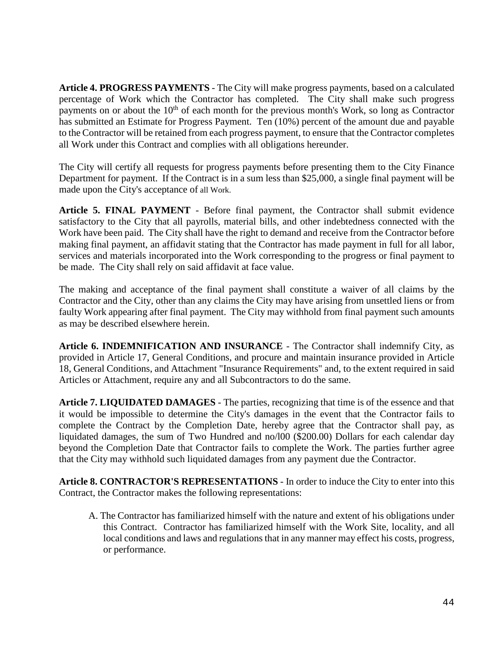**Article 4. PROGRESS PAYMENTS** - The City will make progress payments, based on a calculated percentage of Work which the Contractor has completed. The City shall make such progress payments on or about the  $10<sup>th</sup>$  of each month for the previous month's Work, so long as Contractor has submitted an Estimate for Progress Payment. Ten (10%) percent of the amount due and payable to the Contractor will be retained from each progress payment, to ensure that the Contractor completes all Work under this Contract and complies with all obligations hereunder.

The City will certify all requests for progress payments before presenting them to the City Finance Department for payment. If the Contract is in a sum less than \$25,000, a single final payment will be made upon the City's acceptance of all Work.

**Article 5. FINAL PAYMENT** - Before final payment, the Contractor shall submit evidence satisfactory to the City that all payrolls, material bills, and other indebtedness connected with the Work have been paid. The City shall have the right to demand and receive from the Contractor before making final payment, an affidavit stating that the Contractor has made payment in full for all labor, services and materials incorporated into the Work corresponding to the progress or final payment to be made. The City shall rely on said affidavit at face value.

The making and acceptance of the final payment shall constitute a waiver of all claims by the Contractor and the City, other than any claims the City may have arising from unsettled liens or from faulty Work appearing after final payment. The City may withhold from final payment such amounts as may be described elsewhere herein.

**Article 6. INDEMNIFICATION AND INSURANCE** - The Contractor shall indemnify City, as provided in Article 17, General Conditions, and procure and maintain insurance provided in Article 18, General Conditions, and Attachment "Insurance Requirements" and, to the extent required in said Articles or Attachment, require any and all Subcontractors to do the same.

**Article 7. LIQUIDATED DAMAGES** - The parties, recognizing that time is of the essence and that it would be impossible to determine the City's damages in the event that the Contractor fails to complete the Contract by the Completion Date, hereby agree that the Contractor shall pay, as liquidated damages, the sum of Two Hundred and no/l00 (\$200.00) Dollars for each calendar day beyond the Completion Date that Contractor fails to complete the Work. The parties further agree that the City may withhold such liquidated damages from any payment due the Contractor.

**Article 8. CONTRACTOR'S REPRESENTATIONS** - In order to induce the City to enter into this Contract, the Contractor makes the following representations:

A. The Contractor has familiarized himself with the nature and extent of his obligations under this Contract. Contractor has familiarized himself with the Work Site, locality, and all local conditions and laws and regulations that in any manner may effect his costs, progress, or performance.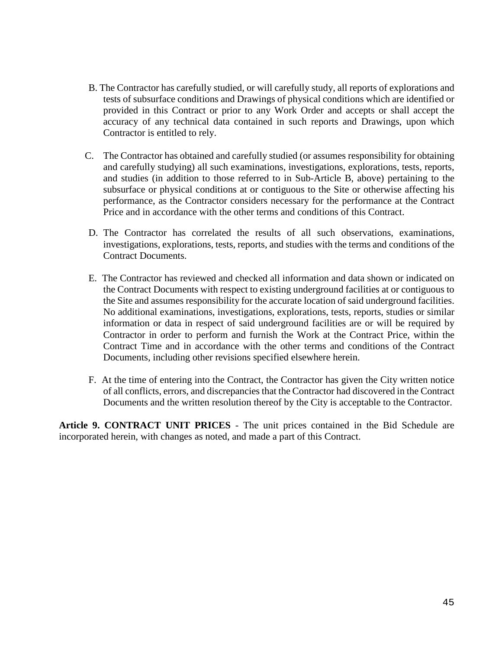- B. The Contractor has carefully studied, or will carefully study, all reports of explorations and tests of subsurface conditions and Drawings of physical conditions which are identified or provided in this Contract or prior to any Work Order and accepts or shall accept the accuracy of any technical data contained in such reports and Drawings, upon which Contractor is entitled to rely.
- C. The Contractor has obtained and carefully studied (or assumes responsibility for obtaining and carefully studying) all such examinations, investigations, explorations, tests, reports, and studies (in addition to those referred to in Sub-Article B, above) pertaining to the subsurface or physical conditions at or contiguous to the Site or otherwise affecting his performance, as the Contractor considers necessary for the performance at the Contract Price and in accordance with the other terms and conditions of this Contract.
- D. The Contractor has correlated the results of all such observations, examinations, investigations, explorations, tests, reports, and studies with the terms and conditions of the Contract Documents.
- E. The Contractor has reviewed and checked all information and data shown or indicated on the Contract Documents with respect to existing underground facilities at or contiguous to the Site and assumes responsibility for the accurate location of said underground facilities. No additional examinations, investigations, explorations, tests, reports, studies or similar information or data in respect of said underground facilities are or will be required by Contractor in order to perform and furnish the Work at the Contract Price, within the Contract Time and in accordance with the other terms and conditions of the Contract Documents, including other revisions specified elsewhere herein.
- F. At the time of entering into the Contract, the Contractor has given the City written notice of all conflicts, errors, and discrepancies that the Contractor had discovered in the Contract Documents and the written resolution thereof by the City is acceptable to the Contractor.

**Article 9. CONTRACT UNIT PRICES** - The unit prices contained in the Bid Schedule are incorporated herein, with changes as noted, and made a part of this Contract.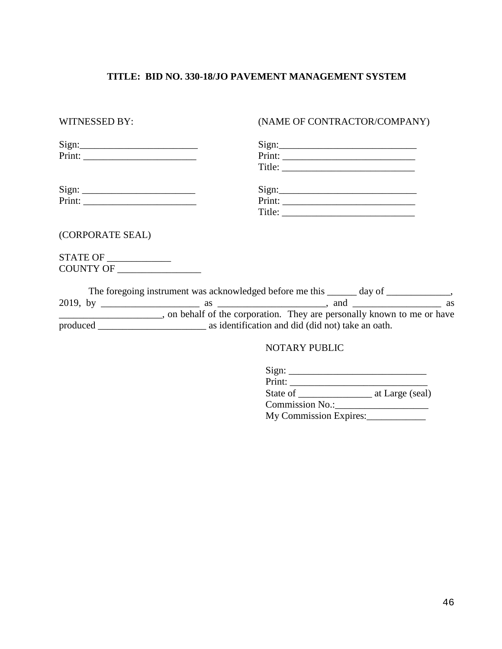# **TITLE: BID NO. 330-18/JO PAVEMENT MANAGEMENT SYSTEM**

| WITNESSED BY:                  | (NAME OF CONTRACTOR/COMPANY)                                                          |
|--------------------------------|---------------------------------------------------------------------------------------|
|                                | Sign:                                                                                 |
| $Print: ____________$          | Print:                                                                                |
|                                |                                                                                       |
|                                | Sign:                                                                                 |
|                                |                                                                                       |
|                                |                                                                                       |
| (CORPORATE SEAL)               |                                                                                       |
| STATE OF _____________         |                                                                                       |
| COUNTY OF ____________________ |                                                                                       |
|                                | The foregoing instrument was acknowledged before me this ______ day of _____________, |
|                                |                                                                                       |
|                                |                                                                                       |
|                                |                                                                                       |
|                                | <b>NOTARY PUBLIC</b>                                                                  |

| Sign:  |  |  |
|--------|--|--|
| Print: |  |  |

State of \_\_\_\_\_\_\_\_\_\_\_\_\_\_\_ at Large (seal)

Commission No.:\_\_\_\_\_\_\_\_\_\_\_\_\_\_\_\_\_\_\_

My Commission Expires: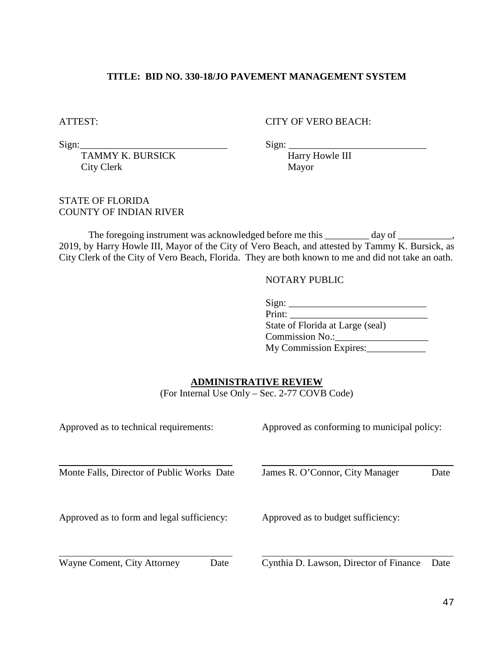# **TITLE: BID NO. 330-18/JO PAVEMENT MANAGEMENT SYSTEM**

ATTEST: CITY OF VERO BEACH:

 $Sign:$   $\qquad \qquad$   $Sign:$   $\qquad \qquad$   $\qquad$   $\qquad$   $\qquad$   $\qquad$   $\qquad$   $\qquad$   $\qquad$   $\qquad$   $\qquad$   $\qquad$   $\qquad$   $\qquad$   $\qquad$   $\qquad$   $\qquad$   $\qquad$   $\qquad$   $\qquad$   $\qquad$   $\qquad$   $\qquad$   $\qquad$   $\qquad$   $\qquad$   $\qquad$   $\qquad$   $\qquad$   $\qquad$   $\qquad$   $\qquad$   $\qquad$   $\qquad$ 

TAMMY K. BURSICK Harry Howle III City Clerk Mayor

STATE OF FLORIDA COUNTY OF INDIAN RIVER

The foregoing instrument was acknowledged before me this \_\_\_\_\_\_\_\_ day of \_\_\_\_\_\_\_\_, 2019, by Harry Howle III, Mayor of the City of Vero Beach, and attested by Tammy K. Bursick, as City Clerk of the City of Vero Beach, Florida. They are both known to me and did not take an oath.

#### NOTARY PUBLIC

| Sign:                            |
|----------------------------------|
| Print:                           |
| State of Florida at Large (seal) |
| <b>Commission No.:</b>           |
| My Commission Expires:           |

# **ADMINISTRATIVE REVIEW**

(For Internal Use Only – Sec. 2-77 COVB Code)

| Approved as to technical requirements:     | Approved as conforming to municipal policy: |      |  |
|--------------------------------------------|---------------------------------------------|------|--|
| Monte Falls, Director of Public Works Date | James R. O'Connor, City Manager             | Date |  |
| Approved as to form and legal sufficiency: | Approved as to budget sufficiency:          |      |  |
| Wayne Coment, City Attorney<br>Date        | Cynthia D. Lawson, Director of Finance      | Date |  |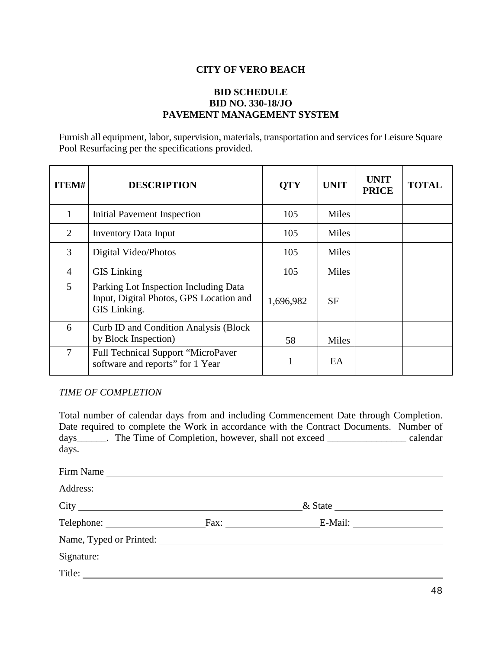# **CITY OF VERO BEACH**

# **BID SCHEDULE BID NO. 330-18/JO PAVEMENT MANAGEMENT SYSTEM**

Furnish all equipment, labor, supervision, materials, transportation and services for Leisure Square Pool Resurfacing per the specifications provided.

| <b>ITEM#</b> | <b>DESCRIPTION</b>                                                                               | <b>QTY</b> | <b>UNIT</b> | <b>UNIT</b><br><b>PRICE</b> | <b>TOTAL</b> |
|--------------|--------------------------------------------------------------------------------------------------|------------|-------------|-----------------------------|--------------|
| 1            | Initial Pavement Inspection                                                                      | 105        | Miles       |                             |              |
| 2            | <b>Inventory Data Input</b>                                                                      | 105        | Miles       |                             |              |
| 3            | Digital Video/Photos                                                                             | 105        | Miles       |                             |              |
| 4            | <b>GIS</b> Linking                                                                               | 105        | Miles       |                             |              |
| 5            | Parking Lot Inspection Including Data<br>Input, Digital Photos, GPS Location and<br>GIS Linking. | 1,696,982  | <b>SF</b>   |                             |              |
| 6            | <b>Curb ID and Condition Analysis (Block)</b><br>by Block Inspection)                            | 58         | Miles       |                             |              |
| 7            | Full Technical Support "MicroPaver<br>software and reports" for 1 Year                           | 1.         | EA          |                             |              |

#### *TIME OF COMPLETION*

Total number of calendar days from and including Commencement Date through Completion. Date required to complete the Work in accordance with the Contract Documents. Number of days\_\_\_\_\_\_. The Time of Completion, however, shall not exceed \_\_\_\_\_\_\_\_\_\_\_\_\_\_\_\_ calendar days.

Firm Name Address: City & State & State Reserves Telephone: Fax: E-Mail: E-Mail: Name, Typed or Printed: Signature: Title: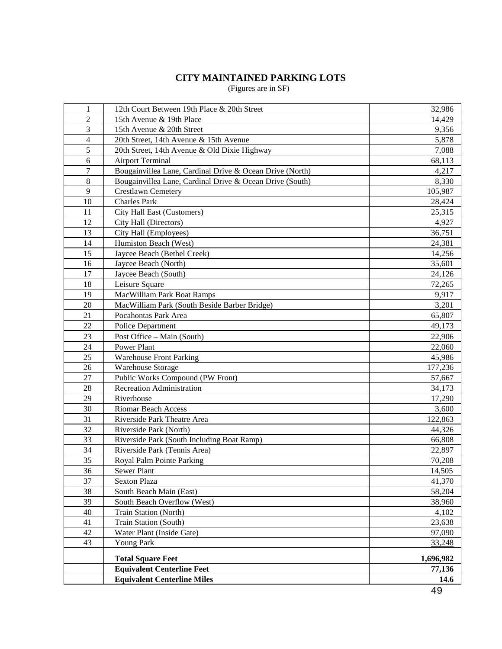# **CITY MAINTAINED PARKING LOTS**

(Figures are in SF)

| $\mathbf{1}$   | 12th Court Between 19th Place & 20th Street              | 32,986    |
|----------------|----------------------------------------------------------|-----------|
| $\overline{2}$ | 15th Avenue & 19th Place                                 | 14,429    |
| 3              | 15th Avenue & 20th Street                                | 9,356     |
| $\overline{4}$ | 20th Street, 14th Avenue & 15th Avenue                   | 5,878     |
| 5              | 20th Street, 14th Avenue & Old Dixie Highway             | 7,088     |
| 6              | <b>Airport Terminal</b>                                  | 68,113    |
| 7              | Bougainvillea Lane, Cardinal Drive & Ocean Drive (North) | 4,217     |
| 8              | Bougainvillea Lane, Cardinal Drive & Ocean Drive (South) | 8,330     |
| 9              | <b>Crestlawn Cemetery</b>                                | 105,987   |
| 10             | <b>Charles Park</b>                                      | 28,424    |
| 11             | City Hall East (Customers)                               | 25,315    |
| 12             | City Hall (Directors)                                    | 4,927     |
| 13             | City Hall (Employees)                                    | 36,751    |
| 14             | Humiston Beach (West)                                    | 24,381    |
| 15             | Jaycee Beach (Bethel Creek)                              | 14,256    |
| 16             | Jaycee Beach (North)                                     | 35,601    |
| 17             | Jaycee Beach (South)                                     | 24,126    |
| 18             | Leisure Square                                           | 72,265    |
| 19             | MacWilliam Park Boat Ramps                               | 9,917     |
| 20             | MacWilliam Park (South Beside Barber Bridge)             | 3,201     |
| 21             | Pocahontas Park Area                                     | 65,807    |
| 22             | <b>Police Department</b>                                 | 49,173    |
| 23             | Post Office - Main (South)                               | 22,906    |
| 24             | Power Plant                                              | 22,060    |
| 25             | <b>Warehouse Front Parking</b>                           | 45,986    |
| 26             | Warehouse Storage                                        | 177,236   |
| 27             | Public Works Compound (PW Front)                         | 57,667    |
| 28             | <b>Recreation Administration</b>                         | 34,173    |
| 29             | Riverhouse                                               | 17,290    |
| 30             | <b>Riomar Beach Access</b>                               | 3,600     |
| 31             | Riverside Park Theatre Area                              | 122,863   |
| 32             | Riverside Park (North)                                   | 44,326    |
| 33             | Riverside Park (South Including Boat Ramp)               | 66,808    |
| 34             | Riverside Park (Tennis Area)                             | 22,897    |
| 35             | Royal Palm Pointe Parking                                | 70,208    |
| 36             | Sewer Plant                                              | 14,505    |
| 37             | <b>Sexton Plaza</b>                                      | 41,370    |
| 38             | South Beach Main (East)                                  | 58,204    |
| 39             | South Beach Overflow (West)                              | 38,960    |
| 40             | Train Station (North)                                    | 4,102     |
| 41             | Train Station (South)                                    | 23,638    |
| 42             | Water Plant (Inside Gate)                                | 97,090    |
| 43             | <b>Young Park</b>                                        | 33,248    |
|                | <b>Total Square Feet</b>                                 | 1,696,982 |
|                | <b>Equivalent Centerline Feet</b>                        | 77,136    |
|                | <b>Equivalent Centerline Miles</b>                       | 14.6      |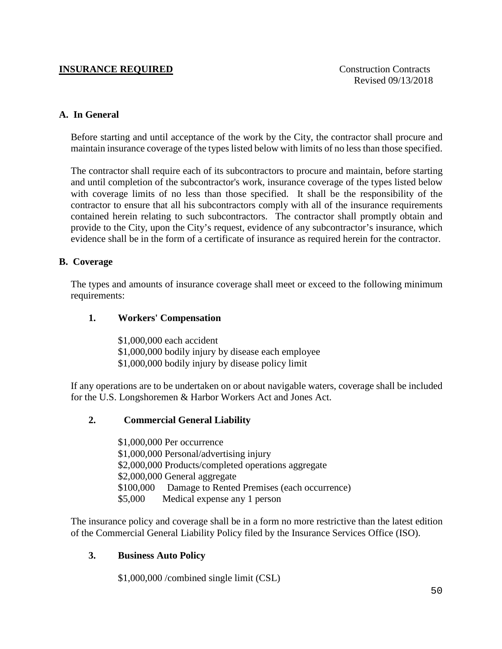# **INSURANCE REQUIRED** Construction Contracts

# **A. In General**

Before starting and until acceptance of the work by the City, the contractor shall procure and maintain insurance coverage of the types listed below with limits of no less than those specified.

The contractor shall require each of its subcontractors to procure and maintain, before starting and until completion of the subcontractor's work, insurance coverage of the types listed below with coverage limits of no less than those specified. It shall be the responsibility of the contractor to ensure that all his subcontractors comply with all of the insurance requirements contained herein relating to such subcontractors. The contractor shall promptly obtain and provide to the City, upon the City's request, evidence of any subcontractor's insurance, which evidence shall be in the form of a certificate of insurance as required herein for the contractor.

# **B. Coverage**

The types and amounts of insurance coverage shall meet or exceed to the following minimum requirements:

# **1. Workers' Compensation**

\$1,000,000 each accident \$1,000,000 bodily injury by disease each employee \$1,000,000 bodily injury by disease policy limit

If any operations are to be undertaken on or about navigable waters, coverage shall be included for the U.S. Longshoremen & Harbor Workers Act and Jones Act.

# **2. Commercial General Liability**

\$1,000,000 Per occurrence \$1,000,000 Personal/advertising injury \$2,000,000 Products/completed operations aggregate \$2,000,000 General aggregate \$100,000 Damage to Rented Premises (each occurrence) \$5,000 Medical expense any 1 person

The insurance policy and coverage shall be in a form no more restrictive than the latest edition of the Commercial General Liability Policy filed by the Insurance Services Office (ISO).

#### **3. Business Auto Policy**

\$1,000,000 /combined single limit (CSL)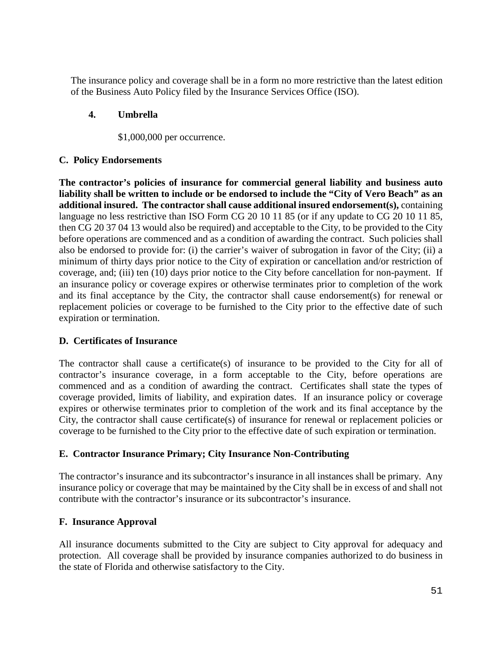The insurance policy and coverage shall be in a form no more restrictive than the latest edition of the Business Auto Policy filed by the Insurance Services Office (ISO).

# **4. Umbrella**

# \$1,000,000 per occurrence.

# **C. Policy Endorsements**

**The contractor's policies of insurance for commercial general liability and business auto liability shall be written to include or be endorsed to include the "City of Vero Beach" as an additional insured. The contractor shall cause additional insured endorsement(s),** containing language no less restrictive than ISO Form CG 20 10 11 85 (or if any update to CG 20 10 11 85, then CG 20 37 04 13 would also be required) and acceptable to the City, to be provided to the City before operations are commenced and as a condition of awarding the contract. Such policies shall also be endorsed to provide for: (i) the carrier's waiver of subrogation in favor of the City; (ii) a minimum of thirty days prior notice to the City of expiration or cancellation and/or restriction of coverage, and; (iii) ten (10) days prior notice to the City before cancellation for non-payment. If an insurance policy or coverage expires or otherwise terminates prior to completion of the work and its final acceptance by the City, the contractor shall cause endorsement(s) for renewal or replacement policies or coverage to be furnished to the City prior to the effective date of such expiration or termination.

# **D. Certificates of Insurance**

The contractor shall cause a certificate(s) of insurance to be provided to the City for all of contractor's insurance coverage, in a form acceptable to the City, before operations are commenced and as a condition of awarding the contract. Certificates shall state the types of coverage provided, limits of liability, and expiration dates. If an insurance policy or coverage expires or otherwise terminates prior to completion of the work and its final acceptance by the City, the contractor shall cause certificate(s) of insurance for renewal or replacement policies or coverage to be furnished to the City prior to the effective date of such expiration or termination.

# **E. Contractor Insurance Primary; City Insurance Non-Contributing**

The contractor's insurance and its subcontractor's insurance in all instances shall be primary. Any insurance policy or coverage that may be maintained by the City shall be in excess of and shall not contribute with the contractor's insurance or its subcontractor's insurance.

# **F. Insurance Approval**

All insurance documents submitted to the City are subject to City approval for adequacy and protection. All coverage shall be provided by insurance companies authorized to do business in the state of Florida and otherwise satisfactory to the City.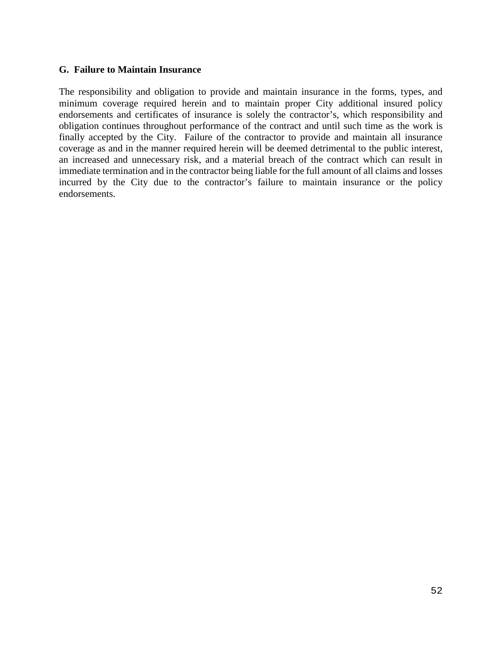### **G. Failure to Maintain Insurance**

The responsibility and obligation to provide and maintain insurance in the forms, types, and minimum coverage required herein and to maintain proper City additional insured policy endorsements and certificates of insurance is solely the contractor's, which responsibility and obligation continues throughout performance of the contract and until such time as the work is finally accepted by the City. Failure of the contractor to provide and maintain all insurance coverage as and in the manner required herein will be deemed detrimental to the public interest, an increased and unnecessary risk, and a material breach of the contract which can result in immediate termination and in the contractor being liable for the full amount of all claims and losses incurred by the City due to the contractor's failure to maintain insurance or the policy endorsements.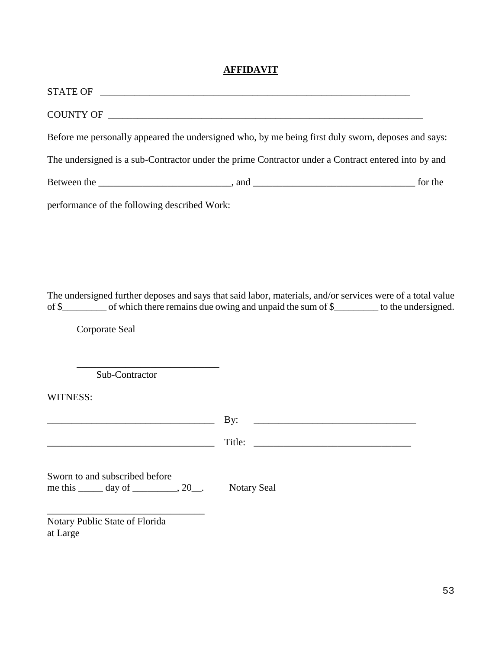# **AFFIDAVIT**

| STATE OF                                     |                                                                                                     |  |
|----------------------------------------------|-----------------------------------------------------------------------------------------------------|--|
| COUNTY OF                                    |                                                                                                     |  |
|                                              | Before me personally appeared the undersigned who, by me being first duly sworn, deposes and says:  |  |
|                                              | The undersigned is a sub-Contractor under the prime Contractor under a Contract entered into by and |  |
|                                              |                                                                                                     |  |
| performance of the following described Work: |                                                                                                     |  |

The undersigned further deposes and says that said labor, materials, and/or services were of a total value of \$\_\_\_\_\_\_\_\_\_ of which there remains due owing and unpaid the sum of \$\_\_\_\_\_\_\_\_\_ to the undersigned.

Corporate Seal

\_\_\_\_\_\_\_\_\_\_\_\_\_\_\_\_\_\_\_\_\_\_\_\_\_\_\_\_\_ Sub-Contractor

WITNESS:

|                                                                                           | By:<br><u> 1980 - Andrea Andrewski, fransk politik (d. 1980)</u> |
|-------------------------------------------------------------------------------------------|------------------------------------------------------------------|
|                                                                                           |                                                                  |
| Sworn to and subscribed before<br>me this $\_\_\_\$ day of $\_\_\_\_\_\$ 20 $\_\_\_\_\$ . | <b>Notary Seal</b>                                               |
| Notary Public State of Florida                                                            |                                                                  |

at Large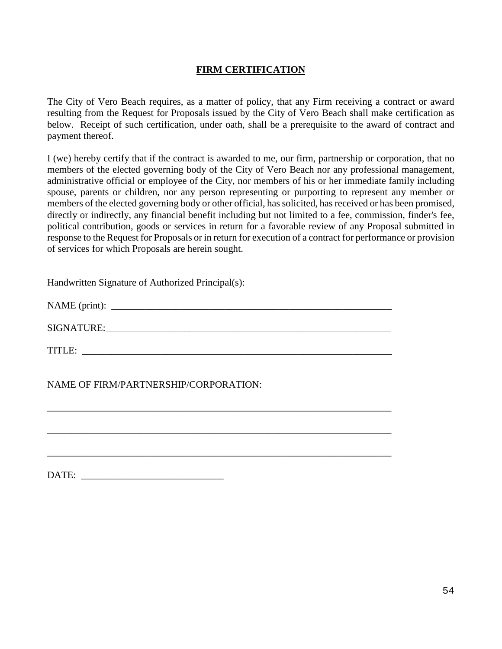# **FIRM CERTIFICATION**

The City of Vero Beach requires, as a matter of policy, that any Firm receiving a contract or award resulting from the Request for Proposals issued by the City of Vero Beach shall make certification as below. Receipt of such certification, under oath, shall be a prerequisite to the award of contract and payment thereof.

I (we) hereby certify that if the contract is awarded to me, our firm, partnership or corporation, that no members of the elected governing body of the City of Vero Beach nor any professional management, administrative official or employee of the City, nor members of his or her immediate family including spouse, parents or children, nor any person representing or purporting to represent any member or members of the elected governing body or other official, has solicited, has received or has been promised, directly or indirectly, any financial benefit including but not limited to a fee, commission, finder's fee, political contribution, goods or services in return for a favorable review of any Proposal submitted in response to the Request for Proposals or in return for execution of a contract for performance or provision of services for which Proposals are herein sought.

Handwritten Signature of Authorized Principal(s):

NAME (print): \_\_\_\_\_\_\_\_\_\_\_\_\_\_\_\_\_\_\_\_\_\_\_\_\_\_\_\_\_\_\_\_\_\_\_\_\_\_\_\_\_\_\_\_\_\_\_\_\_\_\_\_\_\_\_\_\_

SIGNATURE:

\_\_\_\_\_\_\_\_\_\_\_\_\_\_\_\_\_\_\_\_\_\_\_\_\_\_\_\_\_\_\_\_\_\_\_\_\_\_\_\_\_\_\_\_\_\_\_\_\_\_\_\_\_\_\_\_\_\_\_\_\_\_\_\_\_\_\_\_\_\_

\_\_\_\_\_\_\_\_\_\_\_\_\_\_\_\_\_\_\_\_\_\_\_\_\_\_\_\_\_\_\_\_\_\_\_\_\_\_\_\_\_\_\_\_\_\_\_\_\_\_\_\_\_\_\_\_\_\_\_\_\_\_\_\_\_\_\_\_\_\_

\_\_\_\_\_\_\_\_\_\_\_\_\_\_\_\_\_\_\_\_\_\_\_\_\_\_\_\_\_\_\_\_\_\_\_\_\_\_\_\_\_\_\_\_\_\_\_\_\_\_\_\_\_\_\_\_\_\_\_\_\_\_\_\_\_\_\_\_\_\_

TITLE: \_\_\_\_\_\_\_\_\_\_\_\_\_\_\_\_\_\_\_\_\_\_\_\_\_\_\_\_\_\_\_\_\_\_\_\_\_\_\_\_\_\_\_\_\_\_\_\_\_\_\_\_\_\_\_\_\_\_\_\_\_\_\_

NAME OF FIRM/PARTNERSHIP/CORPORATION:

DATE: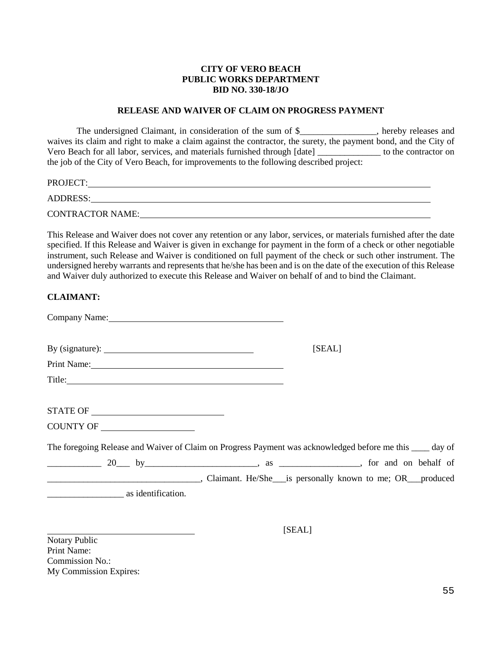#### **CITY OF VERO BEACH PUBLIC WORKS DEPARTMENT BID NO. 330-18/JO**

#### **RELEASE AND WAIVER OF CLAIM ON PROGRESS PAYMENT**

The undersigned Claimant, in consideration of the sum of \$\_\_\_\_\_\_\_\_\_\_\_\_\_\_, hereby releases and waives its claim and right to make a claim against the contractor, the surety, the payment bond, and the City of Vero Beach for all labor, services, and materials furnished through [date] \_\_\_\_\_\_\_\_\_\_\_\_\_\_ to the contractor on the job of the City of Vero Beach, for improvements to the following described project:

| <b>PROJECT:</b>  |  |  |
|------------------|--|--|
| ADDRESS:         |  |  |
| CONTRACTOR NAME: |  |  |

This Release and Waiver does not cover any retention or any labor, services, or materials furnished after the date specified. If this Release and Waiver is given in exchange for payment in the form of a check or other negotiable instrument, such Release and Waiver is conditioned on full payment of the check or such other instrument. The undersigned hereby warrants and represents that he/she has been and is on the date of the execution of this Release and Waiver duly authorized to execute this Release and Waiver on behalf of and to bind the Claimant.

#### **CLAIMANT:**

| Company Name: 2008                                                                                                                                                                    |        |
|---------------------------------------------------------------------------------------------------------------------------------------------------------------------------------------|--------|
| By (signature): $\frac{1}{\sqrt{1-\frac{1}{2}} \cdot \frac{1}{2}}$                                                                                                                    | [SEAL] |
| Print Name: 2008. [2016] Print Name:                                                                                                                                                  |        |
| Title:                                                                                                                                                                                |        |
|                                                                                                                                                                                       |        |
|                                                                                                                                                                                       |        |
| COUNTY OF                                                                                                                                                                             |        |
| The foregoing Release and Waiver of Claim on Progress Payment was acknowledged before me this ____ day of                                                                             |        |
| $\frac{20}{100}$ by $\frac{1}{20}$ by $\frac{1}{20}$ by $\frac{1}{20}$ by $\frac{1}{20}$ by $\frac{1}{20}$ by $\frac{1}{20}$ as $\frac{1}{20}$ as $\frac{1}{20}$ for and on behalf of |        |
|                                                                                                                                                                                       |        |
| as identification.                                                                                                                                                                    |        |

[SEAL]

Notary Public Print Name: Commission No.: My Commission Expires: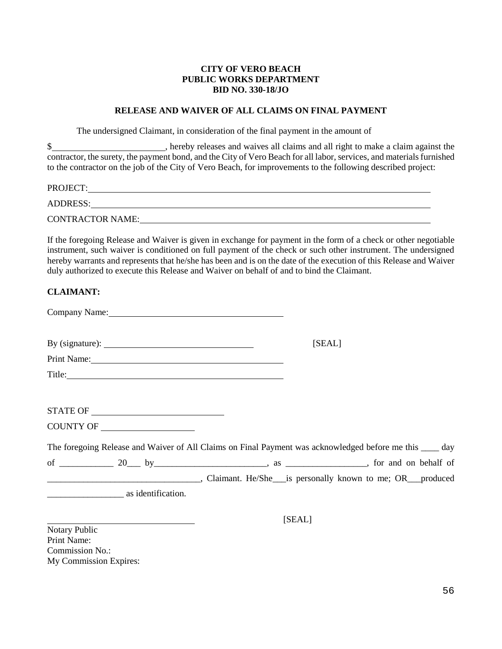#### **CITY OF VERO BEACH PUBLIC WORKS DEPARTMENT BID NO. 330-18/JO**

#### **RELEASE AND WAIVER OF ALL CLAIMS ON FINAL PAYMENT**

The undersigned Claimant, in consideration of the final payment in the amount of

\$ contractor, the surety, the payment bond, and the City of Vero Beach for all labor, services, and materials furnished to the contractor on the job of the City of Vero Beach, for improvements to the following described project:

| PROJECT:                |  |  |
|-------------------------|--|--|
| ADDRESS:                |  |  |
| <b>CONTRACTOR NAME:</b> |  |  |

If the foregoing Release and Waiver is given in exchange for payment in the form of a check or other negotiable instrument, such waiver is conditioned on full payment of the check or such other instrument. The undersigned hereby warrants and represents that he/she has been and is on the date of the execution of this Release and Waiver duly authorized to execute this Release and Waiver on behalf of and to bind the Claimant.

#### **CLAIMANT:**

| Company Name: Name:                                                                                                                                                                                                            |        |
|--------------------------------------------------------------------------------------------------------------------------------------------------------------------------------------------------------------------------------|--------|
| By (signature): $\qquad \qquad$                                                                                                                                                                                                | [SEAL] |
| Print Name: Name and Solid School and School and School and School and School and School and School and School and School and School and School and School and School and School and School and School and School and School a |        |
| Title: Title:                                                                                                                                                                                                                  |        |
|                                                                                                                                                                                                                                |        |
|                                                                                                                                                                                                                                |        |
|                                                                                                                                                                                                                                |        |
| The foregoing Release and Waiver of All Claims on Final Payment was acknowledged before me this ____ day                                                                                                                       |        |
| of $\frac{20}{100}$ by $\frac{1}{20}$ by $\frac{1}{20}$ as $\frac{1}{20}$ , as $\frac{1}{20}$ , for and on behalf of                                                                                                           |        |
|                                                                                                                                                                                                                                |        |
|                                                                                                                                                                                                                                |        |
|                                                                                                                                                                                                                                | [SEAL] |

Notary Public Print Name: Commission No.: My Commission Expires: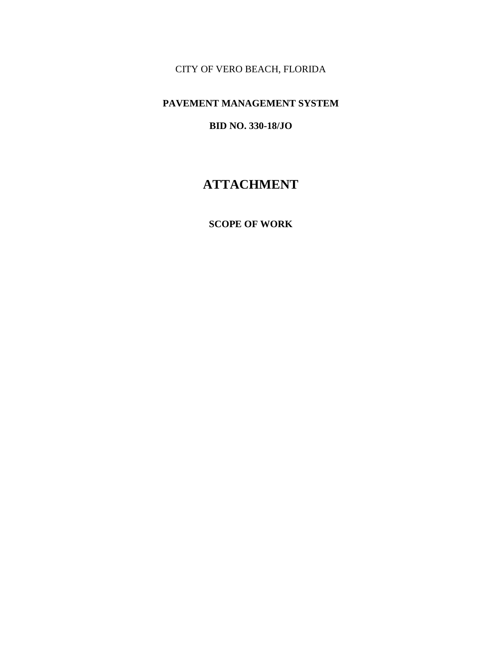CITY OF VERO BEACH, FLORIDA

# **PAVEMENT MANAGEMENT SYSTEM**

# **BID NO. 330-18/JO**

# **ATTACHMENT**

### **SCOPE OF WORK**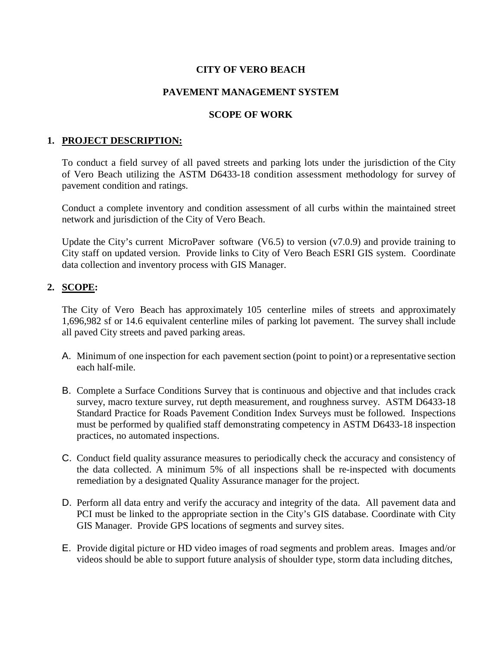# **CITY OF VERO BEACH**

# **PAVEMENT MANAGEMENT SYSTEM**

# **SCOPE OF WORK**

# **1. PROJECT DESCRIPTION:**

To conduct a field survey of all paved streets and parking lots under the jurisdiction of the City of Vero Beach utilizing the ASTM D6433-18 condition assessment methodology for survey of pavement condition and ratings.

Conduct a complete inventory and condition assessment of all curbs within the maintained street network and jurisdiction of the City of Vero Beach.

Update the City's current MicroPaver software (V6.5) to version ( $v7.0.9$ ) and provide training to City staff on updated version. Provide links to City of Vero Beach ESRI GIS system. Coordinate data collection and inventory process with GIS Manager.

# **2. SCOPE:**

The City of Vero Beach has approximately 105 centerline miles of streets and approximately 1,696,982 sf or 14.6 equivalent centerline miles of parking lot pavement. The survey shall include all paved City streets and paved parking areas.

- A. Minimum of one inspection for each pavement section (point to point) or a representative section each half-mile.
- B. Complete a Surface Conditions Survey that is continuous and objective and that includes crack survey, macro texture survey, rut depth measurement, and roughness survey. ASTM D6433-18 Standard Practice for Roads Pavement Condition Index Surveys must be followed. Inspections must be performed by qualified staff demonstrating competency in ASTM D6433-18 inspection practices, no automated inspections.
- C. Conduct field quality assurance measures to periodically check the accuracy and consistency of the data collected. A minimum 5% of all inspections shall be re-inspected with documents remediation by a designated Quality Assurance manager for the project.
- D. Perform all data entry and verify the accuracy and integrity of the data. All pavement data and PCI must be linked to the appropriate section in the City's GIS database. Coordinate with City GIS Manager. Provide GPS locations of segments and survey sites.
- E. Provide digital picture or HD video images of road segments and problem areas. Images and/or videos should be able to support future analysis of shoulder type, storm data including ditches,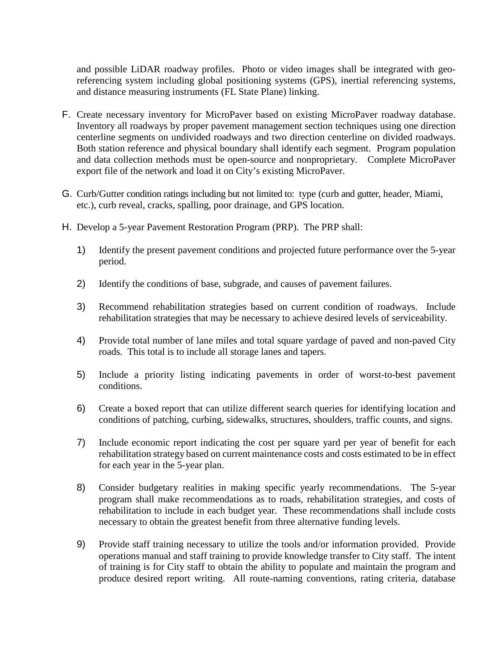and possible LiDAR roadway profiles. Photo or video images shall be integrated with georeferencing system including global positioning systems (GPS), inertial referencing systems, and distance measuring instruments (FL State Plane) linking.

- F. Create necessary inventory for MicroPaver based on existing MicroPaver roadway database. Inventory all roadways by proper pavement management section techniques using one direction centerline segments on undivided roadways and two direction centerline on divided roadways. Both station reference and physical boundary shall identify each segment. Program population and data collection methods must be open-source and nonproprietary. Complete MicroPaver export file of the network and load it on City's existing MicroPaver.
- G. Curb/Gutter condition ratings including but not limited to: type (curb and gutter, header, Miami, etc.), curb reveal, cracks, spalling, poor drainage, and GPS location.
- H. Develop a 5-year Pavement Restoration Program (PRP). The PRP shall:
	- 1) Identify the present pavement conditions and projected future performance over the 5-year period.
	- 2) Identify the conditions of base, subgrade, and causes of pavement failures.
	- 3) Recommend rehabilitation strategies based on current condition of roadways. Include rehabilitation strategies that may be necessary to achieve desired levels of serviceability.
	- 4) Provide total number of lane miles and total square yardage of paved and non-paved City roads. This total is to include all storage lanes and tapers.
	- 5) Include a priority listing indicating pavements in order of worst-to-best pavement conditions.
	- 6) Create a boxed report that can utilize different search queries for identifying location and conditions of patching, curbing, sidewalks, structures, shoulders, traffic counts, and signs.
	- 7) Include economic report indicating the cost per square yard per year of benefit for each rehabilitation strategy based on current maintenance costs and costs estimated to be in effect for each year in the 5-year plan.
	- 8) Consider budgetary realities in making specific yearly recommendations. The 5-year program shall make recommendations as to roads, rehabilitation strategies, and costs of rehabilitation to include in each budget year. These recommendations shall include costs necessary to obtain the greatest benefit from three alternative funding levels.
	- 9) Provide staff training necessary to utilize the tools and/or information provided. Provide operations manual and staff training to provide knowledge transfer to City staff. The intent of training is for City staff to obtain the ability to populate and maintain the program and produce desired report writing. All route-naming conventions, rating criteria, database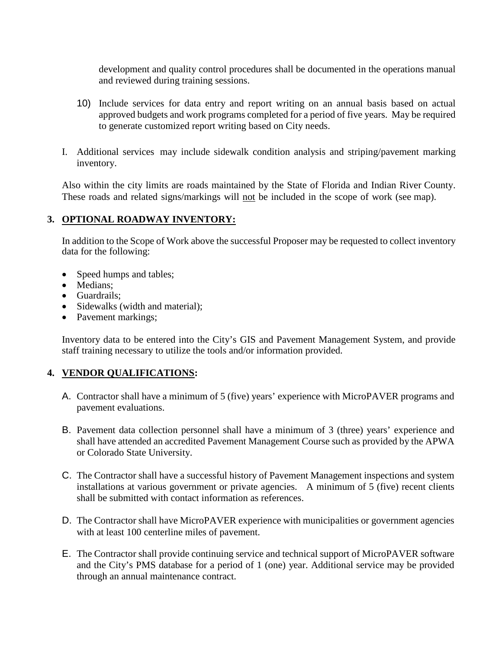development and quality control procedures shall be documented in the operations manual and reviewed during training sessions.

- 10) Include services for data entry and report writing on an annual basis based on actual approved budgets and work programs completed for a period of five years. May be required to generate customized report writing based on City needs.
- I. Additional services may include sidewalk condition analysis and striping/pavement marking inventory.

Also within the city limits are roads maintained by the State of Florida and Indian River County. These roads and related signs/markings will not be included in the scope of work (see map).

# **3. OPTIONAL ROADWAY INVENTORY:**

In addition to the Scope of Work above the successful Proposer may be requested to collect inventory data for the following:

- Speed humps and tables;
- Medians:
- Guardrails;
- Sidewalks (width and material);
- Pavement markings;

Inventory data to be entered into the City's GIS and Pavement Management System, and provide staff training necessary to utilize the tools and/or information provided.

# **4. VENDOR QUALIFICATIONS:**

- A. Contractor shall have a minimum of 5 (five) years' experience with MicroPAVER programs and pavement evaluations.
- B. Pavement data collection personnel shall have a minimum of 3 (three) years' experience and shall have attended an accredited Pavement Management Course such as provided by the APWA or Colorado State University.
- C. The Contractor shall have a successful history of Pavement Management inspections and system installations at various government or private agencies. A minimum of 5 (five) recent clients shall be submitted with contact information as references.
- D. The Contractor shall have MicroPAVER experience with municipalities or government agencies with at least 100 centerline miles of pavement.
- E. The Contractor shall provide continuing service and technical support of MicroPAVER software and the City's PMS database for a period of 1 (one) year. Additional service may be provided through an annual maintenance contract.